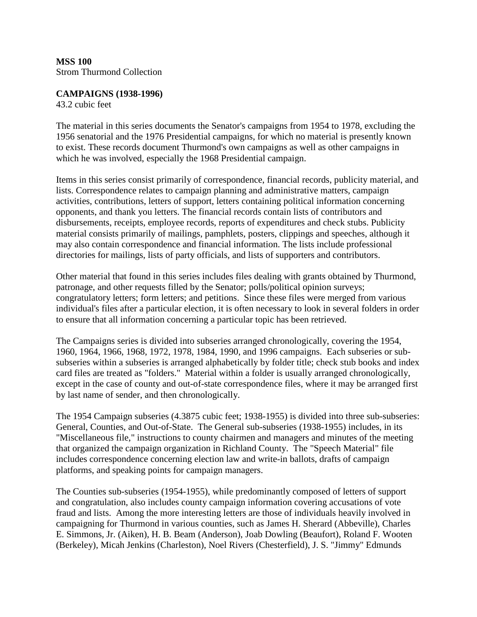# **CAMPAIGNS (1938-1996)**

43.2 cubic feet

The material in this series documents the Senator's campaigns from 1954 to 1978, excluding the 1956 senatorial and the 1976 Presidential campaigns, for which no material is presently known to exist. These records document Thurmond's own campaigns as well as other campaigns in which he was involved, especially the 1968 Presidential campaign.

Items in this series consist primarily of correspondence, financial records, publicity material, and lists. Correspondence relates to campaign planning and administrative matters, campaign activities, contributions, letters of support, letters containing political information concerning opponents, and thank you letters. The financial records contain lists of contributors and disbursements, receipts, employee records, reports of expenditures and check stubs. Publicity material consists primarily of mailings, pamphlets, posters, clippings and speeches, although it may also contain correspondence and financial information. The lists include professional directories for mailings, lists of party officials, and lists of supporters and contributors.

Other material that found in this series includes files dealing with grants obtained by Thurmond, patronage, and other requests filled by the Senator; polls/political opinion surveys; congratulatory letters; form letters; and petitions. Since these files were merged from various individual's files after a particular election, it is often necessary to look in several folders in order to ensure that all information concerning a particular topic has been retrieved.

The Campaigns series is divided into subseries arranged chronologically, covering the 1954, 1960, 1964, 1966, 1968, 1972, 1978, 1984, 1990, and 1996 campaigns. Each subseries or subsubseries within a subseries is arranged alphabetically by folder title; check stub books and index card files are treated as "folders." Material within a folder is usually arranged chronologically, except in the case of county and out-of-state correspondence files, where it may be arranged first by last name of sender, and then chronologically.

The 1954 Campaign subseries (4.3875 cubic feet; 1938-1955) is divided into three sub-subseries: General, Counties, and Out-of-State. The General sub-subseries (1938-1955) includes, in its "Miscellaneous file," instructions to county chairmen and managers and minutes of the meeting that organized the campaign organization in Richland County. The "Speech Material" file includes correspondence concerning election law and write-in ballots, drafts of campaign platforms, and speaking points for campaign managers.

The Counties sub-subseries (1954-1955), while predominantly composed of letters of support and congratulation, also includes county campaign information covering accusations of vote fraud and lists. Among the more interesting letters are those of individuals heavily involved in campaigning for Thurmond in various counties, such as James H. Sherard (Abbeville), Charles E. Simmons, Jr. (Aiken), H. B. Beam (Anderson), Joab Dowling (Beaufort), Roland F. Wooten (Berkeley), Micah Jenkins (Charleston), Noel Rivers (Chesterfield), J. S. "Jimmy" Edmunds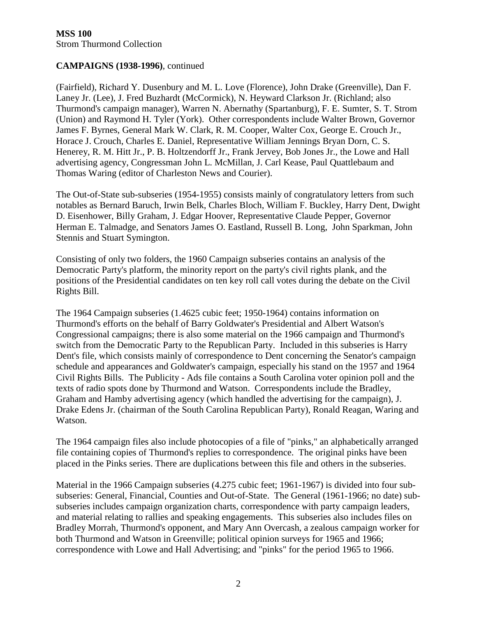(Fairfield), Richard Y. Dusenbury and M. L. Love (Florence), John Drake (Greenville), Dan F. Laney Jr. (Lee), J. Fred Buzhardt (McCormick), N. Heyward Clarkson Jr. (Richland; also Thurmond's campaign manager), Warren N. Abernathy (Spartanburg), F. E. Sumter, S. T. Strom (Union) and Raymond H. Tyler (York). Other correspondents include Walter Brown, Governor James F. Byrnes, General Mark W. Clark, R. M. Cooper, Walter Cox, George E. Crouch Jr., Horace J. Crouch, Charles E. Daniel, Representative William Jennings Bryan Dorn, C. S. Henerey, R. M. Hitt Jr., P. B. Holtzendorff Jr., Frank Jervey, Bob Jones Jr., the Lowe and Hall advertising agency, Congressman John L. McMillan, J. Carl Kease, Paul Quattlebaum and Thomas Waring (editor of Charleston News and Courier).

The Out-of-State sub-subseries (1954-1955) consists mainly of congratulatory letters from such notables as Bernard Baruch, Irwin Belk, Charles Bloch, William F. Buckley, Harry Dent, Dwight D. Eisenhower, Billy Graham, J. Edgar Hoover, Representative Claude Pepper, Governor Herman E. Talmadge, and Senators James O. Eastland, Russell B. Long, John Sparkman, John Stennis and Stuart Symington.

Consisting of only two folders, the 1960 Campaign subseries contains an analysis of the Democratic Party's platform, the minority report on the party's civil rights plank, and the positions of the Presidential candidates on ten key roll call votes during the debate on the Civil Rights Bill.

The 1964 Campaign subseries (1.4625 cubic feet; 1950-1964) contains information on Thurmond's efforts on the behalf of Barry Goldwater's Presidential and Albert Watson's Congressional campaigns; there is also some material on the 1966 campaign and Thurmond's switch from the Democratic Party to the Republican Party. Included in this subseries is Harry Dent's file, which consists mainly of correspondence to Dent concerning the Senator's campaign schedule and appearances and Goldwater's campaign, especially his stand on the 1957 and 1964 Civil Rights Bills. The Publicity - Ads file contains a South Carolina voter opinion poll and the texts of radio spots done by Thurmond and Watson. Correspondents include the Bradley, Graham and Hamby advertising agency (which handled the advertising for the campaign), J. Drake Edens Jr. (chairman of the South Carolina Republican Party), Ronald Reagan, Waring and Watson.

The 1964 campaign files also include photocopies of a file of "pinks," an alphabetically arranged file containing copies of Thurmond's replies to correspondence. The original pinks have been placed in the Pinks series. There are duplications between this file and others in the subseries.

Material in the 1966 Campaign subseries (4.275 cubic feet; 1961-1967) is divided into four subsubseries: General, Financial, Counties and Out-of-State. The General (1961-1966; no date) subsubseries includes campaign organization charts, correspondence with party campaign leaders, and material relating to rallies and speaking engagements. This subseries also includes files on Bradley Morrah, Thurmond's opponent, and Mary Ann Overcash, a zealous campaign worker for both Thurmond and Watson in Greenville; political opinion surveys for 1965 and 1966; correspondence with Lowe and Hall Advertising; and "pinks" for the period 1965 to 1966.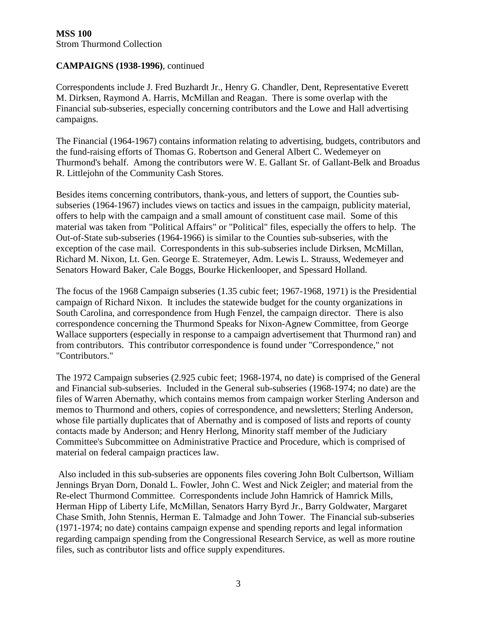Correspondents include J. Fred Buzhardt Jr., Henry G. Chandler, Dent, Representative Everett M. Dirksen, Raymond A. Harris, McMillan and Reagan. There is some overlap with the Financial sub-subseries, especially concerning contributors and the Lowe and Hall advertising campaigns.

The Financial (1964-1967) contains information relating to advertising, budgets, contributors and the fund-raising efforts of Thomas G. Robertson and General Albert C. Wedemeyer on Thurmond's behalf. Among the contributors were W. E. Gallant Sr. of Gallant-Belk and Broadus R. Littlejohn of the Community Cash Stores.

Besides items concerning contributors, thank-yous, and letters of support, the Counties subsubseries (1964-1967) includes views on tactics and issues in the campaign, publicity material, offers to help with the campaign and a small amount of constituent case mail. Some of this material was taken from "Political Affairs" or "Political" files, especially the offers to help. The Out-of-State sub-subseries (1964-1966) is similar to the Counties sub-subseries, with the exception of the case mail. Correspondents in this sub-subseries include Dirksen, McMillan, Richard M. Nixon, Lt. Gen. George E. Stratemeyer, Adm. Lewis L. Strauss, Wedemeyer and Senators Howard Baker, Cale Boggs, Bourke Hickenlooper, and Spessard Holland.

The focus of the 1968 Campaign subseries (1.35 cubic feet; 1967-1968, 1971) is the Presidential campaign of Richard Nixon. It includes the statewide budget for the county organizations in South Carolina, and correspondence from Hugh Fenzel, the campaign director. There is also correspondence concerning the Thurmond Speaks for Nixon-Agnew Committee, from George Wallace supporters (especially in response to a campaign advertisement that Thurmond ran) and from contributors. This contributor correspondence is found under "Correspondence," not "Contributors."

The 1972 Campaign subseries (2.925 cubic feet; 1968-1974, no date) is comprised of the General and Financial sub-subseries. Included in the General sub-subseries (1968-1974; no date) are the files of Warren Abernathy, which contains memos from campaign worker Sterling Anderson and memos to Thurmond and others, copies of correspondence, and newsletters; Sterling Anderson, whose file partially duplicates that of Abernathy and is composed of lists and reports of county contacts made by Anderson; and Henry Herlong, Minority staff member of the Judiciary Committee's Subcommittee on Administrative Practice and Procedure, which is comprised of material on federal campaign practices law.

 Also included in this sub-subseries are opponents files covering John Bolt Culbertson, William Jennings Bryan Dorn, Donald L. Fowler, John C. West and Nick Zeigler; and material from the Re-elect Thurmond Committee. Correspondents include John Hamrick of Hamrick Mills, Herman Hipp of Liberty Life, McMillan, Senators Harry Byrd Jr., Barry Goldwater, Margaret Chase Smith, John Stennis, Herman E. Talmadge and John Tower. The Financial sub-subseries (1971-1974; no date) contains campaign expense and spending reports and legal information regarding campaign spending from the Congressional Research Service, as well as more routine files, such as contributor lists and office supply expenditures.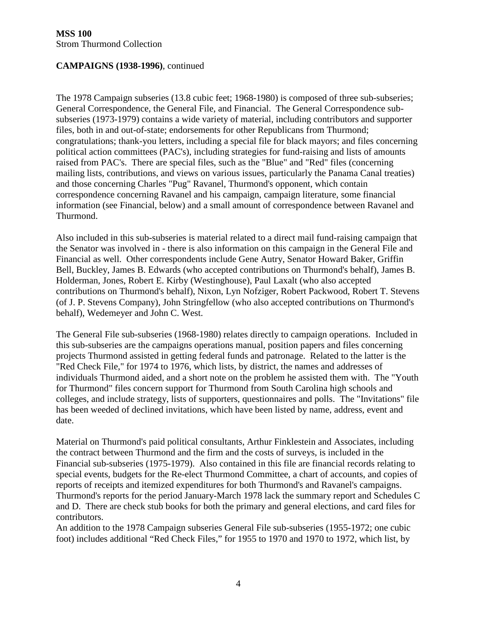The 1978 Campaign subseries (13.8 cubic feet; 1968-1980) is composed of three sub-subseries; General Correspondence, the General File, and Financial. The General Correspondence subsubseries (1973-1979) contains a wide variety of material, including contributors and supporter files, both in and out-of-state; endorsements for other Republicans from Thurmond; congratulations; thank-you letters, including a special file for black mayors; and files concerning political action committees (PAC's), including strategies for fund-raising and lists of amounts raised from PAC's. There are special files, such as the "Blue" and "Red" files (concerning mailing lists, contributions, and views on various issues, particularly the Panama Canal treaties) and those concerning Charles "Pug" Ravanel, Thurmond's opponent, which contain correspondence concerning Ravanel and his campaign, campaign literature, some financial information (see Financial, below) and a small amount of correspondence between Ravanel and Thurmond.

Also included in this sub-subseries is material related to a direct mail fund-raising campaign that the Senator was involved in - there is also information on this campaign in the General File and Financial as well. Other correspondents include Gene Autry, Senator Howard Baker, Griffin Bell, Buckley, James B. Edwards (who accepted contributions on Thurmond's behalf), James B. Holderman, Jones, Robert E. Kirby (Westinghouse), Paul Laxalt (who also accepted contributions on Thurmond's behalf), Nixon, Lyn Nofziger, Robert Packwood, Robert T. Stevens (of J. P. Stevens Company), John Stringfellow (who also accepted contributions on Thurmond's behalf), Wedemeyer and John C. West.

The General File sub-subseries (1968-1980) relates directly to campaign operations. Included in this sub-subseries are the campaigns operations manual, position papers and files concerning projects Thurmond assisted in getting federal funds and patronage. Related to the latter is the "Red Check File," for 1974 to 1976, which lists, by district, the names and addresses of individuals Thurmond aided, and a short note on the problem he assisted them with. The "Youth for Thurmond" files concern support for Thurmond from South Carolina high schools and colleges, and include strategy, lists of supporters, questionnaires and polls. The "Invitations" file has been weeded of declined invitations, which have been listed by name, address, event and date.

Material on Thurmond's paid political consultants, Arthur Finklestein and Associates, including the contract between Thurmond and the firm and the costs of surveys, is included in the Financial sub-subseries (1975-1979). Also contained in this file are financial records relating to special events, budgets for the Re-elect Thurmond Committee, a chart of accounts, and copies of reports of receipts and itemized expenditures for both Thurmond's and Ravanel's campaigns. Thurmond's reports for the period January-March 1978 lack the summary report and Schedules C and D. There are check stub books for both the primary and general elections, and card files for contributors.

An addition to the 1978 Campaign subseries General File sub-subseries (1955-1972; one cubic foot) includes additional "Red Check Files," for 1955 to 1970 and 1970 to 1972, which list, by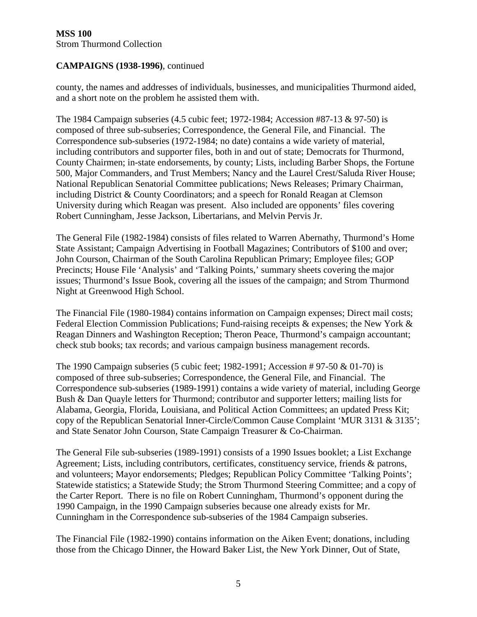county, the names and addresses of individuals, businesses, and municipalities Thurmond aided, and a short note on the problem he assisted them with.

The 1984 Campaign subseries (4.5 cubic feet; 1972-1984; Accession #87-13 & 97-50) is composed of three sub-subseries; Correspondence, the General File, and Financial. The Correspondence sub-subseries (1972-1984; no date) contains a wide variety of material, including contributors and supporter files, both in and out of state; Democrats for Thurmond, County Chairmen; in-state endorsements, by county; Lists, including Barber Shops, the Fortune 500, Major Commanders, and Trust Members; Nancy and the Laurel Crest/Saluda River House; National Republican Senatorial Committee publications; News Releases; Primary Chairman, including District & County Coordinators; and a speech for Ronald Reagan at Clemson University during which Reagan was present. Also included are opponents' files covering Robert Cunningham, Jesse Jackson, Libertarians, and Melvin Pervis Jr.

The General File (1982-1984) consists of files related to Warren Abernathy, Thurmond's Home State Assistant; Campaign Advertising in Football Magazines; Contributors of \$100 and over; John Courson, Chairman of the South Carolina Republican Primary; Employee files; GOP Precincts; House File 'Analysis' and 'Talking Points,' summary sheets covering the major issues; Thurmond's Issue Book, covering all the issues of the campaign; and Strom Thurmond Night at Greenwood High School.

The Financial File (1980-1984) contains information on Campaign expenses; Direct mail costs; Federal Election Commission Publications; Fund-raising receipts & expenses; the New York & Reagan Dinners and Washington Reception; Theron Peace, Thurmond's campaign accountant; check stub books; tax records; and various campaign business management records.

The 1990 Campaign subseries (5 cubic feet; 1982-1991; Accession # 97-50 & 01-70) is composed of three sub-subseries; Correspondence, the General File, and Financial. The Correspondence sub-subseries (1989-1991) contains a wide variety of material, including George Bush & Dan Quayle letters for Thurmond; contributor and supporter letters; mailing lists for Alabama, Georgia, Florida, Louisiana, and Political Action Committees; an updated Press Kit; copy of the Republican Senatorial Inner-Circle/Common Cause Complaint 'MUR 3131 & 3135'; and State Senator John Courson, State Campaign Treasurer & Co-Chairman.

The General File sub-subseries (1989-1991) consists of a 1990 Issues booklet; a List Exchange Agreement; Lists, including contributors, certificates, constituency service, friends & patrons, and volunteers; Mayor endorsements; Pledges; Republican Policy Committee 'Talking Points'; Statewide statistics; a Statewide Study; the Strom Thurmond Steering Committee; and a copy of the Carter Report. There is no file on Robert Cunningham, Thurmond's opponent during the 1990 Campaign, in the 1990 Campaign subseries because one already exists for Mr. Cunningham in the Correspondence sub-subseries of the 1984 Campaign subseries.

The Financial File (1982-1990) contains information on the Aiken Event; donations, including those from the Chicago Dinner, the Howard Baker List, the New York Dinner, Out of State,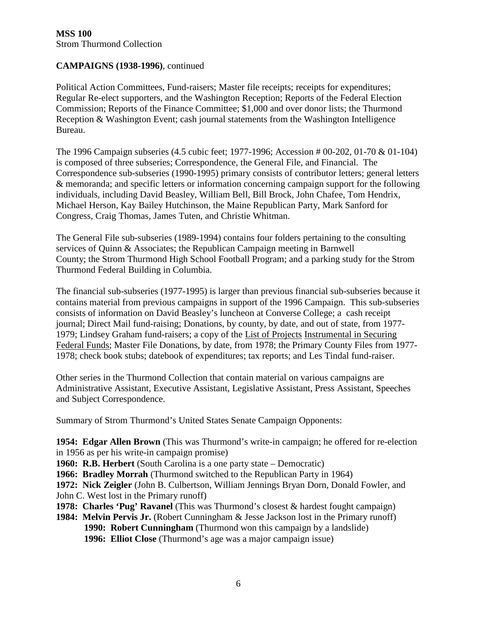Political Action Committees, Fund-raisers; Master file receipts; receipts for expenditures; Regular Re-elect supporters, and the Washington Reception; Reports of the Federal Election Commission; Reports of the Finance Committee; \$1,000 and over donor lists; the Thurmond Reception & Washington Event; cash journal statements from the Washington Intelligence Bureau.

The 1996 Campaign subseries (4.5 cubic feet; 1977-1996; Accession # 00-202, 01-70 & 01-104) is composed of three subseries; Correspondence, the General File, and Financial. The Correspondence sub-subseries (1990-1995) primary consists of contributor letters; general letters & memoranda; and specific letters or information concerning campaign support for the following individuals, including David Beasley, William Bell, Bill Brock, John Chafee, Tom Hendrix, Michael Herson, Kay Bailey Hutchinson, the Maine Republican Party, Mark Sanford for Congress, Craig Thomas, James Tuten, and Christie Whitman.

The General File sub-subseries (1989-1994) contains four folders pertaining to the consulting services of Quinn & Associates; the Republican Campaign meeting in Barnwell County; the Strom Thurmond High School Football Program; and a parking study for the Strom Thurmond Federal Building in Columbia.

The financial sub-subseries (1977-1995) is larger than previous financial sub-subseries because it contains material from previous campaigns in support of the 1996 Campaign. This sub-subseries consists of information on David Beasley's luncheon at Converse College; a cash receipt journal; Direct Mail fund-raising; Donations, by county, by date, and out of state, from 1977- 1979; Lindsey Graham fund-raisers; a copy of the List of Projects Instrumental in Securing Federal Funds; Master File Donations, by date, from 1978; the Primary County Files from 1977- 1978; check book stubs; datebook of expenditures; tax reports; and Les Tindal fund-raiser.

Other series in the Thurmond Collection that contain material on various campaigns are Administrative Assistant, Executive Assistant, Legislative Assistant, Press Assistant, Speeches and Subject Correspondence.

Summary of Strom Thurmond's United States Senate Campaign Opponents:

**1954: Edgar Allen Brown** (This was Thurmond's write-in campaign; he offered for re-election in 1956 as per his write-in campaign promise)

**1960: R.B. Herbert** (South Carolina is a one party state – Democratic)

**1966: Bradley Morrah** (Thurmond switched to the Republican Party in 1964)

**1972: Nick Zeigler** (John B. Culbertson, William Jennings Bryan Dorn, Donald Fowler, and John C. West lost in the Primary runoff)

- **1978: Charles 'Pug' Ravanel** (This was Thurmond's closest & hardest fought campaign)
- **1984: Melvin Pervis Jr.** (Robert Cunningham & Jesse Jackson lost in the Primary runoff) **1990: Robert Cunningham** (Thurmond won this campaign by a landslide) **1996: Elliot Close** (Thurmond's age was a major campaign issue)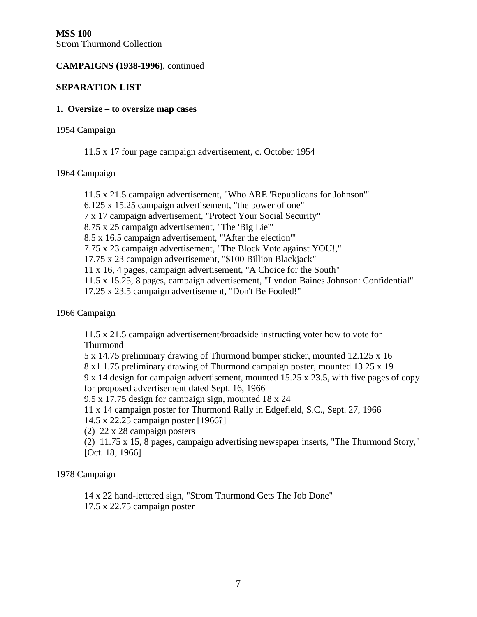### **SEPARATION LIST**

#### **1. Oversize – to oversize map cases**

1954 Campaign

11.5 x 17 four page campaign advertisement, c. October 1954

1964 Campaign

 11.5 x 21.5 campaign advertisement, "Who ARE 'Republicans for Johnson'" 6.125 x 15.25 campaign advertisement, "the power of one" 7 x 17 campaign advertisement, "Protect Your Social Security" 8.75 x 25 campaign advertisement, "The 'Big Lie'" 8.5 x 16.5 campaign advertisement, "'After the election'" 7.75 x 23 campaign advertisement, "The Block Vote against YOU!," 17.75 x 23 campaign advertisement, "\$100 Billion Blackjack" 11 x 16, 4 pages, campaign advertisement, "A Choice for the South" 11.5 x 15.25, 8 pages, campaign advertisement, "Lyndon Baines Johnson: Confidential" 17.25 x 23.5 campaign advertisement, "Don't Be Fooled!"

1966 Campaign

 11.5 x 21.5 campaign advertisement/broadside instructing voter how to vote for Thurmond

5 x 14.75 preliminary drawing of Thurmond bumper sticker, mounted 12.125 x 16

8 x1 1.75 preliminary drawing of Thurmond campaign poster, mounted 13.25 x 19

 9 x 14 design for campaign advertisement, mounted 15.25 x 23.5, with five pages of copy for proposed advertisement dated Sept. 16, 1966

9.5 x 17.75 design for campaign sign, mounted 18 x 24

11 x 14 campaign poster for Thurmond Rally in Edgefield, S.C., Sept. 27, 1966

14.5 x 22.25 campaign poster [1966?]

(2) 22 x 28 campaign posters

 (2) 11.75 x 15, 8 pages, campaign advertising newspaper inserts, "The Thurmond Story," [Oct. 18, 1966]

1978 Campaign

 14 x 22 hand-lettered sign, "Strom Thurmond Gets The Job Done" 17.5 x 22.75 campaign poster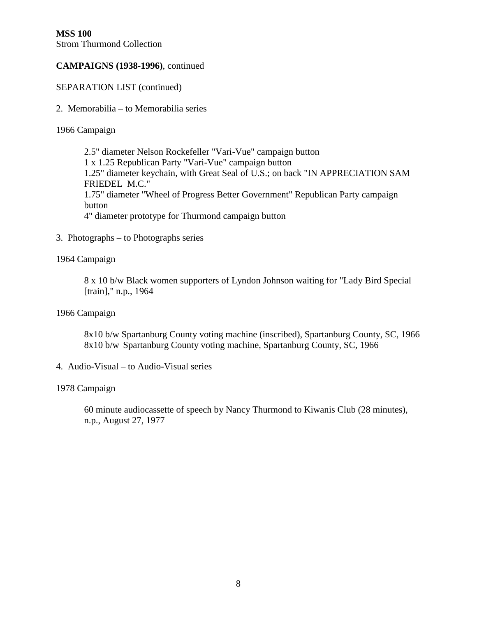SEPARATION LIST (continued)

2. Memorabilia – to Memorabilia series

1966 Campaign

 2.5" diameter Nelson Rockefeller "Vari-Vue" campaign button 1 x 1.25 Republican Party "Vari-Vue" campaign button 1.25" diameter keychain, with Great Seal of U.S.; on back "IN APPRECIATION SAM FRIEDEL M.C." 1.75" diameter "Wheel of Progress Better Government" Republican Party campaign button 4" diameter prototype for Thurmond campaign button

3. Photographs – to Photographs series

### 1964 Campaign

 8 x 10 b/w Black women supporters of Lyndon Johnson waiting for "Lady Bird Special [train]," n.p., 1964

### 1966 Campaign

 8x10 b/w Spartanburg County voting machine (inscribed), Spartanburg County, SC, 1966 8x10 b/w Spartanburg County voting machine, Spartanburg County, SC, 1966

4. Audio-Visual – to Audio-Visual series

#### 1978 Campaign

 60 minute audiocassette of speech by Nancy Thurmond to Kiwanis Club (28 minutes), n.p., August 27, 1977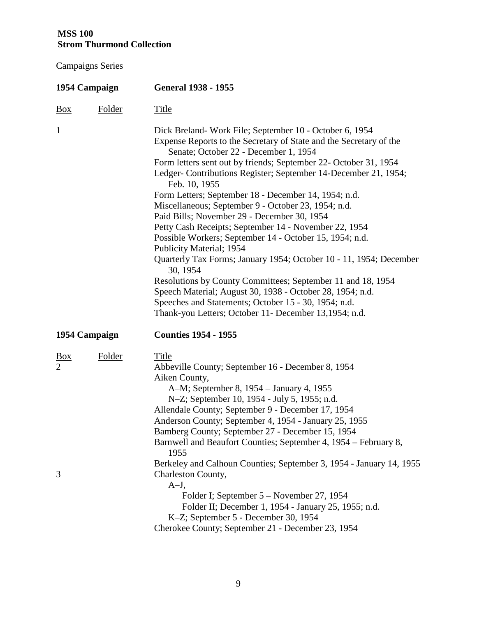| 1954 Campaign                |        | <b>General 1938 - 1955</b>                                                                                                                                                                                                                                                                                                                                                                                                                                                                                                                                                                                                                                                                                                                                                                                                                                                                                                                                                |
|------------------------------|--------|---------------------------------------------------------------------------------------------------------------------------------------------------------------------------------------------------------------------------------------------------------------------------------------------------------------------------------------------------------------------------------------------------------------------------------------------------------------------------------------------------------------------------------------------------------------------------------------------------------------------------------------------------------------------------------------------------------------------------------------------------------------------------------------------------------------------------------------------------------------------------------------------------------------------------------------------------------------------------|
| $\frac{Box}{}$               | Folder | <b>Title</b>                                                                                                                                                                                                                                                                                                                                                                                                                                                                                                                                                                                                                                                                                                                                                                                                                                                                                                                                                              |
| $\mathbf{1}$                 |        | Dick Breland-Work File; September 10 - October 6, 1954<br>Expense Reports to the Secretary of State and the Secretary of the<br>Senate; October 22 - December 1, 1954<br>Form letters sent out by friends; September 22- October 31, 1954<br>Ledger-Contributions Register; September 14-December 21, 1954;<br>Feb. 10, 1955<br>Form Letters; September 18 - December 14, 1954; n.d.<br>Miscellaneous; September 9 - October 23, 1954; n.d.<br>Paid Bills; November 29 - December 30, 1954<br>Petty Cash Receipts; September 14 - November 22, 1954<br>Possible Workers; September 14 - October 15, 1954; n.d.<br>Publicity Material; 1954<br>Quarterly Tax Forms; January 1954; October 10 - 11, 1954; December<br>30, 1954<br>Resolutions by County Committees; September 11 and 18, 1954<br>Speech Material; August 30, 1938 - October 28, 1954; n.d.<br>Speeches and Statements; October 15 - 30, 1954; n.d.<br>Thank-you Letters; October 11- December 13,1954; n.d. |
| 1954 Campaign                |        | <b>Counties 1954 - 1955</b>                                                                                                                                                                                                                                                                                                                                                                                                                                                                                                                                                                                                                                                                                                                                                                                                                                                                                                                                               |
| <u>Box</u><br>$\overline{2}$ | Folder | Title<br>Abbeville County; September 16 - December 8, 1954<br>Aiken County,<br>A-M; September 8, 1954 – January 4, 1955<br>N-Z; September 10, 1954 - July 5, 1955; n.d.<br>Allendale County; September 9 - December 17, 1954<br>Anderson County; September 4, 1954 - January 25, 1955<br>Bamberg County; September 27 - December 15, 1954<br>Barnwell and Beaufort Counties; September 4, 1954 – February 8,<br>1955<br>Berkeley and Calhoun Counties; September 3, 1954 - January 14, 1955                                                                                                                                                                                                                                                                                                                                                                                                                                                                               |
| 3                            |        | Charleston County,<br>$A-J$ ,<br>Folder I; September 5 – November 27, 1954<br>Folder II; December 1, 1954 - January 25, 1955; n.d.<br>K-Z; September 5 - December 30, 1954<br>Cherokee County; September 21 - December 23, 1954                                                                                                                                                                                                                                                                                                                                                                                                                                                                                                                                                                                                                                                                                                                                           |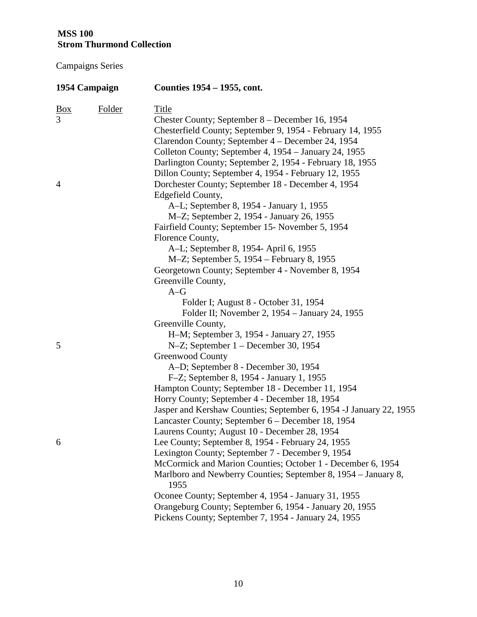|            | 1954 Campaign | Counties 1954 – 1955, cont.                                            |
|------------|---------------|------------------------------------------------------------------------|
| <u>Box</u> | <b>Folder</b> | <b>Title</b>                                                           |
| 3          |               | Chester County; September 8 – December 16, 1954                        |
|            |               | Chesterfield County; September 9, 1954 - February 14, 1955             |
|            |               | Clarendon County; September 4 – December 24, 1954                      |
|            |               | Colleton County; September 4, 1954 – January 24, 1955                  |
|            |               | Darlington County; September 2, 1954 - February 18, 1955               |
|            |               | Dillon County; September 4, 1954 - February 12, 1955                   |
| 4          |               | Dorchester County; September 18 - December 4, 1954                     |
|            |               | Edgefield County,                                                      |
|            |               | A-L; September 8, 1954 - January 1, 1955                               |
|            |               | M-Z; September 2, 1954 - January 26, 1955                              |
|            |               | Fairfield County; September 15- November 5, 1954                       |
|            |               | Florence County,                                                       |
|            |               | A-L; September 8, 1954- April 6, 1955                                  |
|            |               | M-Z; September 5, 1954 - February 8, 1955                              |
|            |               | Georgetown County; September 4 - November 8, 1954                      |
|            |               | Greenville County,                                                     |
|            |               | $A-G$                                                                  |
|            |               | Folder I; August 8 - October 31, 1954                                  |
|            |               | Folder II; November 2, 1954 – January 24, 1955                         |
|            |               | Greenville County,                                                     |
|            |               | H-M; September 3, 1954 - January 27, 1955                              |
| 5          |               | N-Z; September 1 – December 30, 1954                                   |
|            |               | Greenwood County                                                       |
|            |               | A-D; September 8 - December 30, 1954                                   |
|            |               | F-Z; September 8, 1954 - January 1, 1955                               |
|            |               | Hampton County; September 18 - December 11, 1954                       |
|            |               | Horry County; September 4 - December 18, 1954                          |
|            |               | Jasper and Kershaw Counties; September 6, 1954 - J January 22, 1955    |
|            |               | Lancaster County; September 6 - December 18, 1954                      |
|            |               | Laurens County; August 10 - December 28, 1954                          |
| 6          |               | Lee County; September 8, 1954 - February 24, 1955                      |
|            |               | Lexington County; September 7 - December 9, 1954                       |
|            |               | McCormick and Marion Counties; October 1 - December 6, 1954            |
|            |               | Marlboro and Newberry Counties; September 8, 1954 – January 8,<br>1955 |
|            |               | Oconee County; September 4, 1954 - January 31, 1955                    |
|            |               | Orangeburg County; September 6, 1954 - January 20, 1955                |
|            |               | Pickens County; September 7, 1954 - January 24, 1955                   |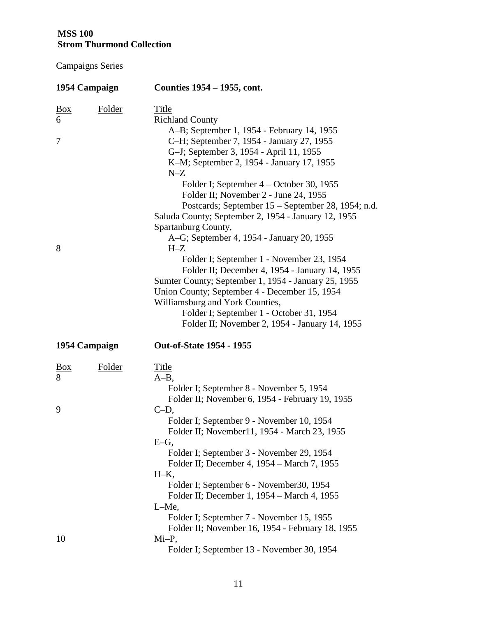| 1954 Campaign            |               | Counties 1954 – 1955, cont.                                                                                                                                                                                                                                                                                                                                                                                                                                                                  |  |  |
|--------------------------|---------------|----------------------------------------------------------------------------------------------------------------------------------------------------------------------------------------------------------------------------------------------------------------------------------------------------------------------------------------------------------------------------------------------------------------------------------------------------------------------------------------------|--|--|
| $\frac{Box}{}$<br>6<br>7 | <b>Folder</b> | <b>Title</b><br><b>Richland County</b><br>A-B; September 1, 1954 - February 14, 1955<br>C-H; September 7, 1954 - January 27, 1955<br>G-J; September 3, 1954 - April 11, 1955<br>K-M; September 2, 1954 - January 17, 1955<br>$N-Z$<br>Folder I; September 4 – October 30, 1955<br>Folder II; November 2 - June 24, 1955<br>Postcards; September 15 – September 28, 1954; n.d.<br>Saluda County; September 2, 1954 - January 12, 1955                                                         |  |  |
| 8                        |               | Spartanburg County,<br>A–G; September 4, 1954 - January 20, 1955<br>$H-Z$<br>Folder I; September 1 - November 23, 1954<br>Folder II; December 4, 1954 - January 14, 1955<br>Sumter County; September 1, 1954 - January 25, 1955<br>Union County; September 4 - December 15, 1954<br>Williamsburg and York Counties,<br>Folder I; September 1 - October 31, 1954<br>Folder II; November 2, 1954 - January 14, 1955                                                                            |  |  |
| 1954 Campaign            |               | <b>Out-of-State 1954 - 1955</b>                                                                                                                                                                                                                                                                                                                                                                                                                                                              |  |  |
| $\frac{Box}{}$<br>8<br>9 | Folder        | Title<br>$A-B$ ,<br>Folder I; September 8 - November 5, 1954<br>Folder II; November 6, 1954 - February 19, 1955<br>$C-D,$<br>Folder I; September 9 - November 10, 1954<br>Folder II; November11, 1954 - March 23, 1955<br>$E-G$ ,<br>Folder I; September 3 - November 29, 1954<br>Folder II; December 4, 1954 – March 7, 1955<br>$H-K$ ,<br>Folder I; September 6 - November 30, 1954<br>Folder II; December 1, 1954 – March 4, 1955<br>$L-Me,$<br>Folder I; September 7 - November 15, 1955 |  |  |
| 10                       |               | Folder II; November 16, 1954 - February 18, 1955<br>$Mi-P,$<br>Folder I; September 13 - November 30, 1954                                                                                                                                                                                                                                                                                                                                                                                    |  |  |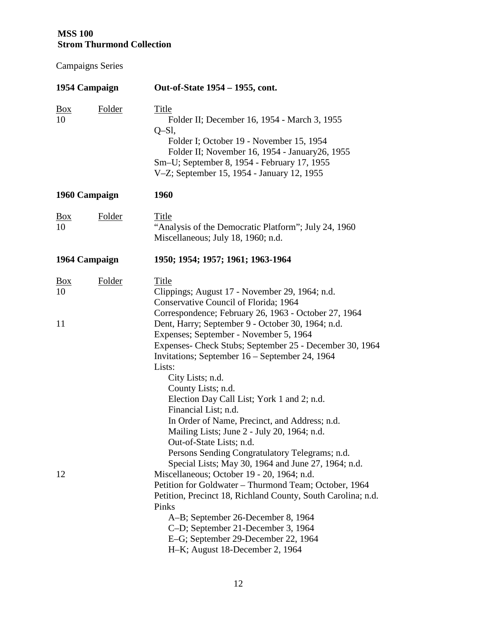| 1954 Campaign              |               | Out-of-State 1954 – 1955, cont.                                                                                                                                                                                                                                                                                                                                                                                                                                                                                                                                                                                                                                              |
|----------------------------|---------------|------------------------------------------------------------------------------------------------------------------------------------------------------------------------------------------------------------------------------------------------------------------------------------------------------------------------------------------------------------------------------------------------------------------------------------------------------------------------------------------------------------------------------------------------------------------------------------------------------------------------------------------------------------------------------|
| Box<br>10                  | <b>Folder</b> | <b>Title</b><br>Folder II; December 16, 1954 - March 3, 1955<br>$Q-Sl,$<br>Folder I; October 19 - November 15, 1954<br>Folder II; November 16, 1954 - January26, 1955<br>Sm-U; September 8, 1954 - February 17, 1955<br>V-Z; September 15, 1954 - January 12, 1955                                                                                                                                                                                                                                                                                                                                                                                                           |
| 1960 Campaign              |               | 1960                                                                                                                                                                                                                                                                                                                                                                                                                                                                                                                                                                                                                                                                         |
| $\frac{Box}{}$<br>10       | <b>Folder</b> | Title<br>"Analysis of the Democratic Platform"; July 24, 1960<br>Miscellaneous; July 18, 1960; n.d.                                                                                                                                                                                                                                                                                                                                                                                                                                                                                                                                                                          |
| 1964 Campaign              |               | 1950; 1954; 1957; 1961; 1963-1964                                                                                                                                                                                                                                                                                                                                                                                                                                                                                                                                                                                                                                            |
| $\frac{Box}{}$<br>10<br>11 | Folder        | Title<br>Clippings; August 17 - November 29, 1964; n.d.<br>Conservative Council of Florida; 1964<br>Correspondence; February 26, 1963 - October 27, 1964<br>Dent, Harry; September 9 - October 30, 1964; n.d.<br>Expenses; September - November 5, 1964<br>Expenses- Check Stubs; September 25 - December 30, 1964<br>Invitations; September 16 - September 24, 1964<br>Lists:<br>City Lists; n.d.<br>County Lists; n.d.<br>Election Day Call List; York 1 and 2; n.d.<br>Financial List; n.d.<br>In Order of Name, Precinct, and Address; n.d.<br>Mailing Lists; June 2 - July 20, 1964; n.d.<br>Out-of-State Lists; n.d.<br>Persons Sending Congratulatory Telegrams; n.d. |
| 12                         |               | Special Lists; May 30, 1964 and June 27, 1964; n.d.<br>Miscellaneous; October 19 - 20, 1964; n.d.<br>Petition for Goldwater - Thurmond Team; October, 1964<br>Petition, Precinct 18, Richland County, South Carolina; n.d.<br>Pinks<br>A-B; September 26-December 8, 1964<br>C-D; September 21-December 3, 1964<br>E-G; September 29-December 22, 1964<br>H-K; August 18-December 2, 1964                                                                                                                                                                                                                                                                                    |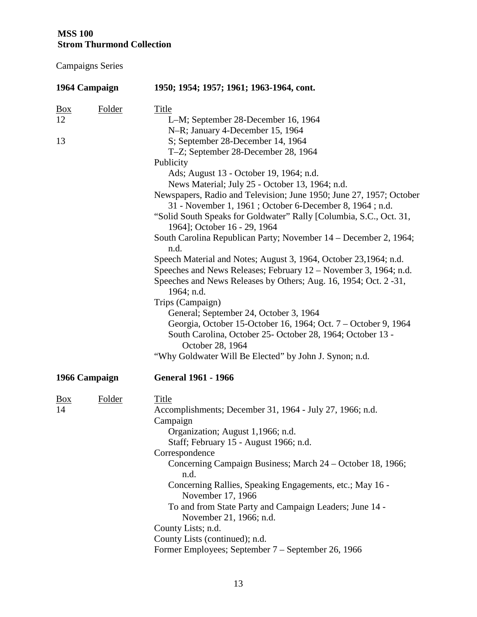| 1964 Campaign                            | 1950; 1954; 1957; 1961; 1963-1964, cont.                                                                                                                                                                                                                                                                                                                                                                                                                                                                                                                                                                                                                                                                                                                                                                                                                                                                                             |
|------------------------------------------|--------------------------------------------------------------------------------------------------------------------------------------------------------------------------------------------------------------------------------------------------------------------------------------------------------------------------------------------------------------------------------------------------------------------------------------------------------------------------------------------------------------------------------------------------------------------------------------------------------------------------------------------------------------------------------------------------------------------------------------------------------------------------------------------------------------------------------------------------------------------------------------------------------------------------------------|
| <b>Folder</b><br>$\underline{Box}$<br>12 | <b>Title</b><br>L-M; September 28-December 16, 1964<br>N-R; January 4-December 15, 1964                                                                                                                                                                                                                                                                                                                                                                                                                                                                                                                                                                                                                                                                                                                                                                                                                                              |
| 13                                       | S; September 28-December 14, 1964<br>T-Z; September 28-December 28, 1964                                                                                                                                                                                                                                                                                                                                                                                                                                                                                                                                                                                                                                                                                                                                                                                                                                                             |
|                                          | Publicity<br>Ads; August 13 - October 19, 1964; n.d.<br>News Material; July 25 - October 13, 1964; n.d.<br>Newspapers, Radio and Television; June 1950; June 27, 1957; October<br>31 - November 1, 1961 ; October 6-December 8, 1964 ; n.d.<br>"Solid South Speaks for Goldwater" Rally [Columbia, S.C., Oct. 31,<br>1964]; October 16 - 29, 1964<br>South Carolina Republican Party; November 14 – December 2, 1964;<br>n.d.<br>Speech Material and Notes; August 3, 1964, October 23, 1964; n.d.<br>Speeches and News Releases; February 12 – November 3, 1964; n.d.<br>Speeches and News Releases by Others; Aug. 16, 1954; Oct. 2 -31,<br>1964; n.d.<br>Trips (Campaign)<br>General; September 24, October 3, 1964<br>Georgia, October 15-October 16, 1964; Oct. 7 – October 9, 1964<br>South Carolina, October 25- October 28, 1964; October 13 -<br>October 28, 1964<br>"Why Goldwater Will Be Elected" by John J. Synon; n.d. |
| 1966 Campaign                            | <b>General 1961 - 1966</b>                                                                                                                                                                                                                                                                                                                                                                                                                                                                                                                                                                                                                                                                                                                                                                                                                                                                                                           |
| Folder<br><u>Box</u><br>14               | <b>Title</b><br>Accomplishments; December 31, 1964 - July 27, 1966; n.d.<br>Campaign<br>Organization; August 1,1966; n.d.<br>Staff; February 15 - August 1966; n.d.<br>Correspondence<br>Concerning Campaign Business; March 24 – October 18, 1966;<br>n.d.<br>Concerning Rallies, Speaking Engagements, etc.; May 16 -<br>November 17, 1966<br>To and from State Party and Campaign Leaders; June 14 -<br>November 21, 1966; n.d.<br>County Lists; n.d.<br>County Lists (continued); n.d.<br>Former Employees; September 7 – September 26, 1966                                                                                                                                                                                                                                                                                                                                                                                     |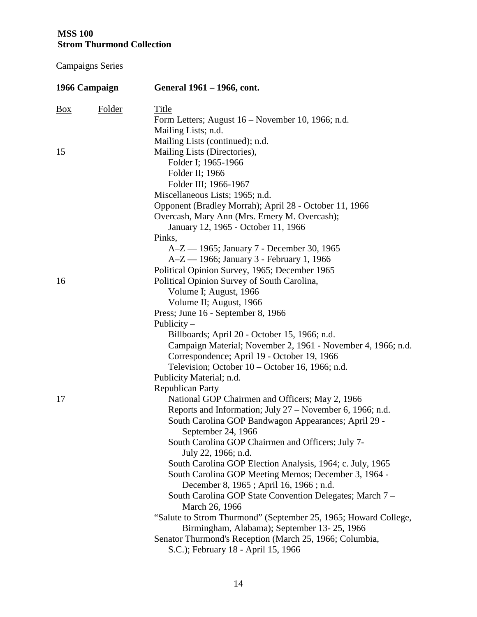|                | 1966 Campaign | General 1961 – 1966, cont.                                      |
|----------------|---------------|-----------------------------------------------------------------|
| $\frac{Box}{}$ | <b>Folder</b> | <u>Title</u>                                                    |
|                |               | Form Letters; August 16 – November 10, 1966; n.d.               |
|                |               | Mailing Lists; n.d.                                             |
|                |               | Mailing Lists (continued); n.d.                                 |
| 15             |               | Mailing Lists (Directories),                                    |
|                |               | Folder I; 1965-1966                                             |
|                |               | Folder II; 1966                                                 |
|                |               | Folder III; 1966-1967                                           |
|                |               | Miscellaneous Lists; 1965; n.d.                                 |
|                |               | Opponent (Bradley Morrah); April 28 - October 11, 1966          |
|                |               | Overcash, Mary Ann (Mrs. Emery M. Overcash);                    |
|                |               | January 12, 1965 - October 11, 1966                             |
|                |               | Pinks,                                                          |
|                |               | A-Z - 1965; January 7 - December 30, 1965                       |
|                |               | A-Z — 1966; January 3 - February 1, 1966                        |
|                |               | Political Opinion Survey, 1965; December 1965                   |
| 16             |               | Political Opinion Survey of South Carolina,                     |
|                |               | Volume I; August, 1966                                          |
|                |               | Volume II; August, 1966                                         |
|                |               | Press; June 16 - September 8, 1966                              |
|                |               | Publicity $-$                                                   |
|                |               | Billboards; April 20 - October 15, 1966; n.d.                   |
|                |               | Campaign Material; November 2, 1961 - November 4, 1966; n.d.    |
|                |               | Correspondence; April 19 - October 19, 1966                     |
|                |               | Television; October 10 – October 16, 1966; n.d.                 |
|                |               | Publicity Material; n.d.                                        |
|                |               | <b>Republican Party</b>                                         |
| 17             |               | National GOP Chairmen and Officers; May 2, 1966                 |
|                |               | Reports and Information; July 27 - November 6, 1966; n.d.       |
|                |               | South Carolina GOP Bandwagon Appearances; April 29 -            |
|                |               | September 24, 1966                                              |
|                |               | South Carolina GOP Chairmen and Officers; July 7-               |
|                |               | July 22, 1966; n.d.                                             |
|                |               | South Carolina GOP Election Analysis, 1964; c. July, 1965       |
|                |               | South Carolina GOP Meeting Memos; December 3, 1964 -            |
|                |               | December 8, 1965; April 16, 1966; n.d.                          |
|                |               | South Carolina GOP State Convention Delegates; March 7 –        |
|                |               | March 26, 1966                                                  |
|                |               | "Salute to Strom Thurmond" (September 25, 1965; Howard College, |
|                |               | Birmingham, Alabama); September 13-25, 1966                     |
|                |               | Senator Thurmond's Reception (March 25, 1966; Columbia,         |
|                |               | S.C.); February 18 - April 15, 1966                             |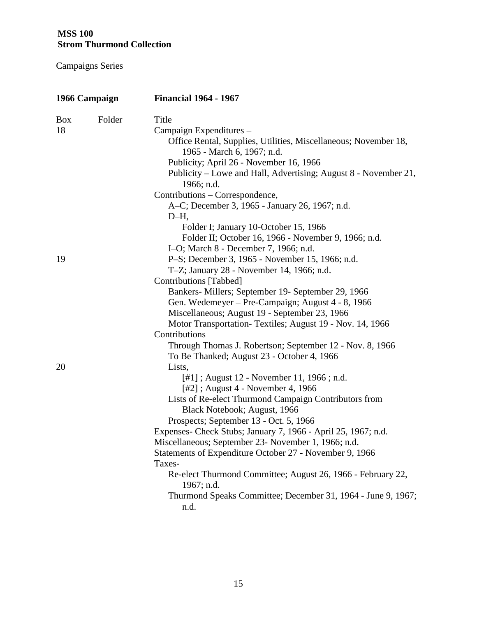| 1966 Campaign        |               | <b>Financial 1964 - 1967</b>                                                                                                                                                                                                                                                                                                                                                                                                                                                                                                                                           |
|----------------------|---------------|------------------------------------------------------------------------------------------------------------------------------------------------------------------------------------------------------------------------------------------------------------------------------------------------------------------------------------------------------------------------------------------------------------------------------------------------------------------------------------------------------------------------------------------------------------------------|
| $\frac{Box}{}$<br>18 | <b>Folder</b> | <b>Title</b><br>Campaign Expenditures -<br>Office Rental, Supplies, Utilities, Miscellaneous; November 18,<br>1965 - March 6, 1967; n.d.<br>Publicity; April 26 - November 16, 1966<br>Publicity – Lowe and Hall, Advertising; August 8 - November 21,<br>1966; n.d.<br>Contributions – Correspondence,<br>A-C; December 3, 1965 - January 26, 1967; n.d.<br>$D-H$ ,                                                                                                                                                                                                   |
|                      |               | Folder I; January 10-October 15, 1966<br>Folder II; October 16, 1966 - November 9, 1966; n.d.                                                                                                                                                                                                                                                                                                                                                                                                                                                                          |
|                      |               | I-O; March 8 - December 7, 1966; n.d.                                                                                                                                                                                                                                                                                                                                                                                                                                                                                                                                  |
| 19                   |               | P-S; December 3, 1965 - November 15, 1966; n.d.                                                                                                                                                                                                                                                                                                                                                                                                                                                                                                                        |
|                      |               | T-Z; January 28 - November 14, 1966; n.d.                                                                                                                                                                                                                                                                                                                                                                                                                                                                                                                              |
|                      |               | Contributions [Tabbed]                                                                                                                                                                                                                                                                                                                                                                                                                                                                                                                                                 |
|                      |               | Bankers- Millers; September 19- September 29, 1966                                                                                                                                                                                                                                                                                                                                                                                                                                                                                                                     |
|                      |               | Gen. Wedemeyer – Pre-Campaign; August 4 - 8, 1966                                                                                                                                                                                                                                                                                                                                                                                                                                                                                                                      |
|                      |               | Miscellaneous; August 19 - September 23, 1966                                                                                                                                                                                                                                                                                                                                                                                                                                                                                                                          |
|                      |               | Motor Transportation-Textiles; August 19 - Nov. 14, 1966                                                                                                                                                                                                                                                                                                                                                                                                                                                                                                               |
|                      |               | Contributions                                                                                                                                                                                                                                                                                                                                                                                                                                                                                                                                                          |
|                      |               | Through Thomas J. Robertson; September 12 - Nov. 8, 1966                                                                                                                                                                                                                                                                                                                                                                                                                                                                                                               |
| 20                   |               | To Be Thanked; August 23 - October 4, 1966<br>Lists,                                                                                                                                                                                                                                                                                                                                                                                                                                                                                                                   |
|                      |               | [#1]; August 12 - November 11, 1966; n.d.<br>$[#2]$ ; August 4 - November 4, 1966<br>Lists of Re-elect Thurmond Campaign Contributors from<br>Black Notebook; August, 1966<br>Prospects; September 13 - Oct. 5, 1966<br>Expenses- Check Stubs; January 7, 1966 - April 25, 1967; n.d.<br>Miscellaneous; September 23- November 1, 1966; n.d.<br>Statements of Expenditure October 27 - November 9, 1966<br>Taxes-<br>Re-elect Thurmond Committee; August 26, 1966 - February 22,<br>1967; n.d.<br>Thurmond Speaks Committee; December 31, 1964 - June 9, 1967;<br>n.d. |
|                      |               |                                                                                                                                                                                                                                                                                                                                                                                                                                                                                                                                                                        |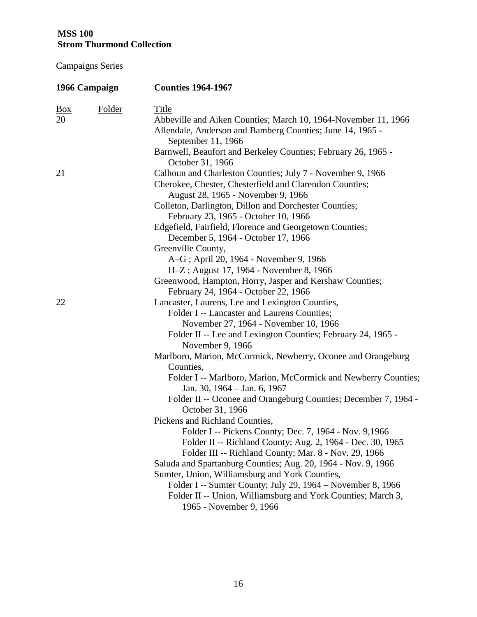| 1966 Campaign           |               | <b>Counties 1964-1967</b>                                                                                                                                                                                                                                                                                                                                                                        |
|-------------------------|---------------|--------------------------------------------------------------------------------------------------------------------------------------------------------------------------------------------------------------------------------------------------------------------------------------------------------------------------------------------------------------------------------------------------|
| $\underline{Box}$<br>20 | <b>Folder</b> | <b>Title</b><br>Abbeville and Aiken Counties; March 10, 1964-November 11, 1966<br>Allendale, Anderson and Bamberg Counties; June 14, 1965 -                                                                                                                                                                                                                                                      |
|                         |               | September 11, 1966<br>Barnwell, Beaufort and Berkeley Counties; February 26, 1965 -<br>October 31, 1966                                                                                                                                                                                                                                                                                          |
| 21                      |               | Calhoun and Charleston Counties; July 7 - November 9, 1966<br>Cherokee, Chester, Chesterfield and Clarendon Counties;<br>August 28, 1965 - November 9, 1966<br>Colleton, Darlington, Dillon and Dorchester Counties;<br>February 23, 1965 - October 10, 1966                                                                                                                                     |
|                         |               | Edgefield, Fairfield, Florence and Georgetown Counties;<br>December 5, 1964 - October 17, 1966                                                                                                                                                                                                                                                                                                   |
|                         |               | Greenville County,<br>A-G; April 20, 1964 - November 9, 1966<br>H-Z; August 17, 1964 - November 8, 1966<br>Greenwood, Hampton, Horry, Jasper and Kershaw Counties;                                                                                                                                                                                                                               |
| 22                      |               | February 24, 1964 - October 22, 1966<br>Lancaster, Laurens, Lee and Lexington Counties,<br>Folder I -- Lancaster and Laurens Counties;<br>November 27, 1964 - November 10, 1966<br>Folder II -- Lee and Lexington Counties; February 24, 1965 -<br>November 9, 1966                                                                                                                              |
|                         |               | Marlboro, Marion, McCormick, Newberry, Oconee and Orangeburg<br>Counties,<br>Folder I -- Marlboro, Marion, McCormick and Newberry Counties;<br>Jan. 30, 1964 – Jan. 6, 1967<br>Folder II -- Oconee and Orangeburg Counties; December 7, 1964 -<br>October 31, 1966<br>Pickens and Richland Counties,<br>Folder I -- Pickens County; Dec. 7, 1964 - Nov. 9,1966                                   |
|                         |               | Folder II -- Richland County; Aug. 2, 1964 - Dec. 30, 1965<br>Folder III -- Richland County; Mar. 8 - Nov. 29, 1966<br>Saluda and Spartanburg Counties; Aug. 20, 1964 - Nov. 9, 1966<br>Sumter, Union, Williamsburg and York Counties,<br>Folder I -- Sumter County; July 29, 1964 – November 8, 1966<br>Folder II -- Union, Williamsburg and York Counties; March 3,<br>1965 - November 9, 1966 |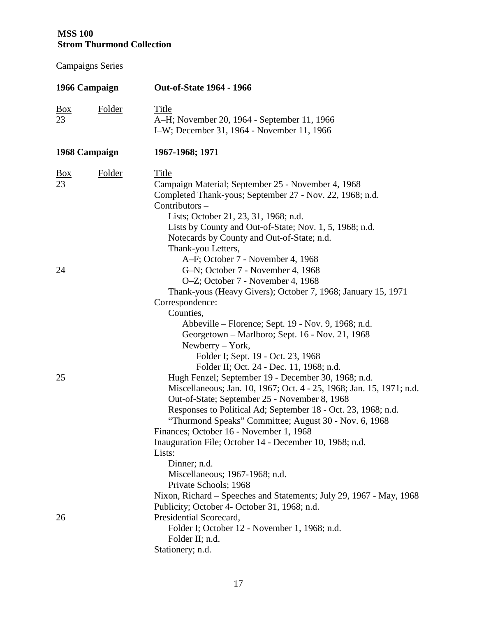| 1966 Campaign           |               | <b>Out-of-State 1964 - 1966</b>                                                                                                                                                                                                                                                                                                                                                                                                                                                                                                               |
|-------------------------|---------------|-----------------------------------------------------------------------------------------------------------------------------------------------------------------------------------------------------------------------------------------------------------------------------------------------------------------------------------------------------------------------------------------------------------------------------------------------------------------------------------------------------------------------------------------------|
| $\underline{Box}$<br>23 | <b>Folder</b> | <b>Title</b><br>A-H; November 20, 1964 - September 11, 1966<br>I-W; December 31, 1964 - November 11, 1966                                                                                                                                                                                                                                                                                                                                                                                                                                     |
|                         | 1968 Campaign | 1967-1968; 1971                                                                                                                                                                                                                                                                                                                                                                                                                                                                                                                               |
| $\frac{Box}{}$<br>23    | <b>Folder</b> | <b>Title</b><br>Campaign Material; September 25 - November 4, 1968<br>Completed Thank-yous; September 27 - Nov. 22, 1968; n.d.<br>Contributors -<br>Lists; October 21, 23, 31, 1968; n.d.<br>Lists by County and Out-of-State; Nov. 1, 5, 1968; n.d.                                                                                                                                                                                                                                                                                          |
| 24                      |               | Notecards by County and Out-of-State; n.d.<br>Thank-you Letters,<br>A-F; October 7 - November 4, 1968<br>G-N; October 7 - November 4, 1968<br>O-Z; October 7 - November 4, 1968                                                                                                                                                                                                                                                                                                                                                               |
|                         |               | Thank-yous (Heavy Givers); October 7, 1968; January 15, 1971<br>Correspondence:<br>Counties,<br>Abbeville – Florence; Sept. 19 - Nov. 9, 1968; n.d.<br>Georgetown – Marlboro; Sept. 16 - Nov. 21, 1968<br>Newberry $-$ York,<br>Folder I; Sept. 19 - Oct. 23, 1968                                                                                                                                                                                                                                                                            |
| 25                      |               | Folder II; Oct. 24 - Dec. 11, 1968; n.d.<br>Hugh Fenzel; September 19 - December 30, 1968; n.d.<br>Miscellaneous; Jan. 10, 1967; Oct. 4 - 25, 1968; Jan. 15, 1971; n.d.<br>Out-of-State; September 25 - November 8, 1968<br>Responses to Political Ad; September 18 - Oct. 23, 1968; n.d.<br>"Thurmond Speaks" Committee; August 30 - Nov. 6, 1968<br>Finances; October 16 - November 1, 1968<br>Inauguration File; October 14 - December 10, 1968; n.d.<br>Lists:<br>Dinner; n.d.<br>Miscellaneous; 1967-1968; n.d.<br>Private Schools; 1968 |
| 26                      |               | Nixon, Richard - Speeches and Statements; July 29, 1967 - May, 1968<br>Publicity; October 4- October 31, 1968; n.d.<br>Presidential Scorecard,<br>Folder I; October 12 - November 1, 1968; n.d.<br>Folder II; n.d.<br>Stationery; n.d.                                                                                                                                                                                                                                                                                                        |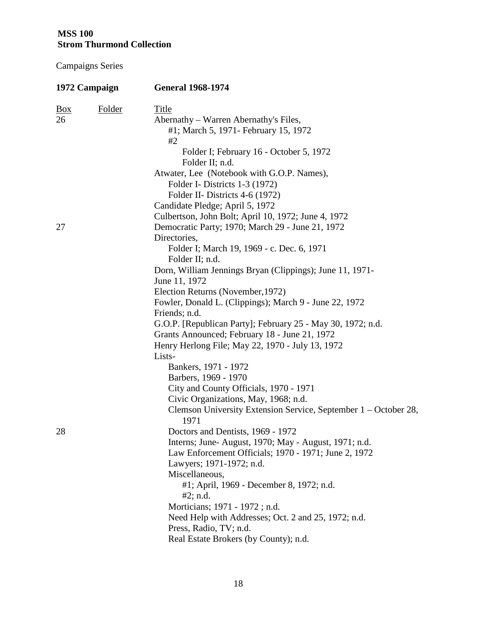| 1972 Campaign        |        | <b>General 1968-1974</b>                                                                             |
|----------------------|--------|------------------------------------------------------------------------------------------------------|
| $\frac{Box}{}$<br>26 | Folder | <b>Title</b><br>Abernathy – Warren Abernathy's Files,<br>#1; March 5, 1971 - February 15, 1972<br>#2 |
|                      |        | Folder I; February 16 - October 5, 1972<br>Folder II; n.d.                                           |
|                      |        | Atwater, Lee (Notebook with G.O.P. Names),                                                           |
|                      |        | Folder I- Districts 1-3 (1972)                                                                       |
|                      |        | Folder II- Districts 4-6 (1972)<br>Candidate Pledge; April 5, 1972                                   |
|                      |        | Culbertson, John Bolt; April 10, 1972; June 4, 1972                                                  |
| 27                   |        | Democratic Party; 1970; March 29 - June 21, 1972                                                     |
|                      |        | Directories,                                                                                         |
|                      |        | Folder I; March 19, 1969 - c. Dec. 6, 1971                                                           |
|                      |        | Folder II; n.d.                                                                                      |
|                      |        | Dorn, William Jennings Bryan (Clippings); June 11, 1971-                                             |
|                      |        | June 11, 1972                                                                                        |
|                      |        | Election Returns (November, 1972)                                                                    |
|                      |        | Fowler, Donald L. (Clippings); March 9 - June 22, 1972                                               |
|                      |        | Friends; n.d.                                                                                        |
|                      |        | G.O.P. [Republican Party]; February 25 - May 30, 1972; n.d.                                          |
|                      |        | Grants Announced; February 18 - June 21, 1972                                                        |
|                      |        | Henry Herlong File; May 22, 1970 - July 13, 1972                                                     |
|                      |        | Lists-<br>Bankers, 1971 - 1972                                                                       |
|                      |        | Barbers, 1969 - 1970                                                                                 |
|                      |        | City and County Officials, 1970 - 1971                                                               |
|                      |        | Civic Organizations, May, 1968; n.d.                                                                 |
|                      |        | Clemson University Extension Service, September 1 – October 28,<br>1971                              |
| 28                   |        | Doctors and Dentists, 1969 - 1972                                                                    |
|                      |        | Interns; June-August, 1970; May - August, 1971; n.d.                                                 |
|                      |        | Law Enforcement Officials; 1970 - 1971; June 2, 1972                                                 |
|                      |        | Lawyers; 1971-1972; n.d.                                                                             |
|                      |        | Miscellaneous,                                                                                       |
|                      |        | #1; April, 1969 - December 8, 1972; n.d.                                                             |
|                      |        | #2; n.d.                                                                                             |
|                      |        | Morticians; 1971 - 1972; n.d.                                                                        |
|                      |        | Need Help with Addresses; Oct. 2 and 25, 1972; n.d.                                                  |
|                      |        | Press, Radio, TV; n.d.<br>Real Estate Brokers (by County); n.d.                                      |
|                      |        |                                                                                                      |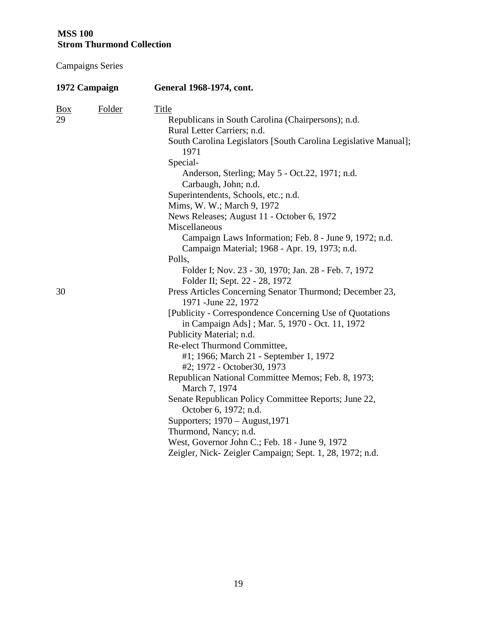| 1972 Campaign              | <b>General 1968-1974, cont.</b>                                                                                                                                                                                                                                                                                                                                                                                                                                    |
|----------------------------|--------------------------------------------------------------------------------------------------------------------------------------------------------------------------------------------------------------------------------------------------------------------------------------------------------------------------------------------------------------------------------------------------------------------------------------------------------------------|
| Folder<br><u>Box</u><br>29 | Title<br>Republicans in South Carolina (Chairpersons); n.d.<br>Rural Letter Carriers; n.d.<br>South Carolina Legislators [South Carolina Legislative Manual];<br>1971<br>Special-<br>Anderson, Sterling; May 5 - Oct.22, 1971; n.d.<br>Carbaugh, John; n.d.<br>Superintendents, Schools, etc.; n.d.<br>Mims, W. W.; March 9, 1972<br>News Releases; August 11 - October 6, 1972<br>Miscellaneous                                                                   |
| 30                         | Campaign Laws Information; Feb. 8 - June 9, 1972; n.d.<br>Campaign Material; 1968 - Apr. 19, 1973; n.d.<br>Polls,<br>Folder I; Nov. 23 - 30, 1970; Jan. 28 - Feb. 7, 1972<br>Folder II; Sept. 22 - 28, 1972<br>Press Articles Concerning Senator Thurmond; December 23,<br>1971 - June 22, 1972                                                                                                                                                                    |
|                            | [Publicity - Correspondence Concerning Use of Quotations<br>in Campaign Ads]; Mar. 5, 1970 - Oct. 11, 1972<br>Publicity Material; n.d.<br>Re-elect Thurmond Committee,<br>#1; 1966; March 21 - September 1, 1972<br>#2; 1972 - October30, 1973<br>Republican National Committee Memos; Feb. 8, 1973;<br>March 7, 1974<br>Senate Republican Policy Committee Reports; June 22,<br>October 6, 1972; n.d.<br>Supporters; 1970 – August, 1971<br>Thurmond, Nancy; n.d. |
|                            | West, Governor John C.; Feb. 18 - June 9, 1972<br>Zeigler, Nick-Zeigler Campaign; Sept. 1, 28, 1972; n.d.                                                                                                                                                                                                                                                                                                                                                          |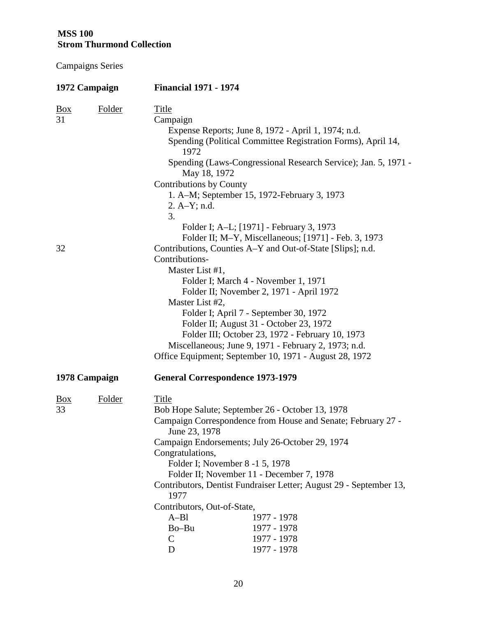| 1972 Campaign        |               | <b>Financial 1971 - 1974</b>                                                                                                                                                                                                                                                                                                                                                                                                                                                                                              |
|----------------------|---------------|---------------------------------------------------------------------------------------------------------------------------------------------------------------------------------------------------------------------------------------------------------------------------------------------------------------------------------------------------------------------------------------------------------------------------------------------------------------------------------------------------------------------------|
| $\frac{Box}{}$<br>31 | <b>Folder</b> | <u>Title</u><br>Campaign<br>Expense Reports; June 8, 1972 - April 1, 1974; n.d.<br>Spending (Political Committee Registration Forms), April 14,<br>1972<br>Spending (Laws-Congressional Research Service); Jan. 5, 1971 -<br>May 18, 1972<br>Contributions by County<br>1. A–M; September 15, 1972-February 3, 1973<br>$2. A-Y; n.d.$                                                                                                                                                                                     |
| 32                   |               | 3.<br>Folder I; A-L; [1971] - February 3, 1973<br>Folder II; M-Y, Miscellaneous; [1971] - Feb. 3, 1973<br>Contributions, Counties A-Y and Out-of-State [Slips]; n.d.<br>Contributions-<br>Master List #1,<br>Folder I; March 4 - November 1, 1971<br>Folder II; November 2, 1971 - April 1972                                                                                                                                                                                                                             |
|                      |               | Master List #2,<br>Folder I; April 7 - September 30, 1972<br>Folder II; August 31 - October 23, 1972<br>Folder III; October 23, 1972 - February 10, 1973<br>Miscellaneous; June 9, 1971 - February 2, 1973; n.d.<br>Office Equipment; September 10, 1971 - August 28, 1972                                                                                                                                                                                                                                                |
| 1978 Campaign        |               | <b>General Correspondence 1973-1979</b>                                                                                                                                                                                                                                                                                                                                                                                                                                                                                   |
| $\frac{Box}{}$<br>33 | Folder        | <b>Title</b><br>Bob Hope Salute; September 26 - October 13, 1978<br>Campaign Correspondence from House and Senate; February 27 -<br>June 23, 1978<br>Campaign Endorsements; July 26-October 29, 1974<br>Congratulations,<br>Folder I; November 8 -1 5, 1978<br>Folder II; November 11 - December 7, 1978<br>Contributors, Dentist Fundraiser Letter; August 29 - September 13,<br>1977<br>Contributors, Out-of-State,<br>$A-B1$<br>1977 - 1978<br>Bo-Bu<br>1977 - 1978<br>$\mathsf{C}$<br>1977 - 1978<br>1977 - 1978<br>D |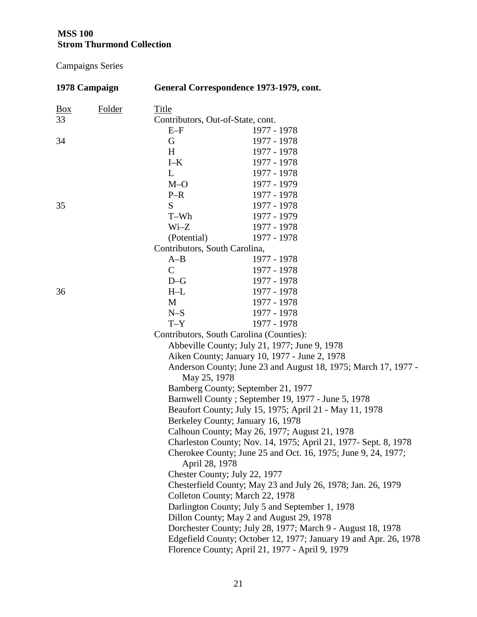| 1978 Campaign |        | General Correspondence 1973-1979, cont. |                                                                  |  |
|---------------|--------|-----------------------------------------|------------------------------------------------------------------|--|
| <b>Box</b>    | Folder | <b>Title</b>                            |                                                                  |  |
| 33            |        | Contributors, Out-of-State, cont.       |                                                                  |  |
|               |        | $E-F$                                   | 1977 - 1978                                                      |  |
| 34            |        | G                                       | 1977 - 1978                                                      |  |
|               |        | H                                       | 1977 - 1978                                                      |  |
|               |        | $\mbox{I-K}$                            | 1977 - 1978                                                      |  |
|               |        | L                                       | 1977 - 1978                                                      |  |
|               |        | $M-O$                                   | 1977 - 1979                                                      |  |
|               |        | $P-R$                                   | 1977 - 1978                                                      |  |
| 35            |        | S                                       | 1977 - 1978                                                      |  |
|               |        | T-Wh                                    | 1977 - 1979                                                      |  |
|               |        | $Wi-Z$                                  | 1977 - 1978                                                      |  |
|               |        | (Potential)                             | 1977 - 1978                                                      |  |
|               |        | Contributors, South Carolina,           |                                                                  |  |
|               |        | $A-B$                                   | 1977 - 1978                                                      |  |
|               |        | $\mathsf{C}$                            | 1977 - 1978                                                      |  |
|               |        | $D-G$                                   | 1977 - 1978                                                      |  |
| 36            |        | $H-L$                                   | 1977 - 1978                                                      |  |
|               |        | M                                       | 1977 - 1978                                                      |  |
|               |        | $N-S$                                   | 1977 - 1978                                                      |  |
|               |        | $T - Y$                                 | 1977 - 1978                                                      |  |
|               |        |                                         | Contributors, South Carolina (Counties):                         |  |
|               |        |                                         | Abbeville County; July 21, 1977; June 9, 1978                    |  |
|               |        |                                         | Aiken County; January 10, 1977 - June 2, 1978                    |  |
|               |        |                                         | Anderson County; June 23 and August 18, 1975; March 17, 1977 -   |  |
|               |        | May 25, 1978                            |                                                                  |  |
|               |        |                                         | Bamberg County; September 21, 1977                               |  |
|               |        |                                         | Barnwell County; September 19, 1977 - June 5, 1978               |  |
|               |        |                                         | Beaufort County; July 15, 1975; April 21 - May 11, 1978          |  |
|               |        |                                         | Berkeley County; January 16, 1978                                |  |
|               |        |                                         | Calhoun County; May 26, 1977; August 21, 1978                    |  |
|               |        |                                         | Charleston County; Nov. 14, 1975; April 21, 1977- Sept. 8, 1978  |  |
|               |        |                                         | Cherokee County; June 25 and Oct. 16, 1975; June 9, 24, 1977;    |  |
|               |        | April 28, 1978                          |                                                                  |  |
|               |        | Chester County; July 22, 1977           |                                                                  |  |
|               |        |                                         | Chesterfield County; May 23 and July 26, 1978; Jan. 26, 1979     |  |
|               |        |                                         | Colleton County; March 22, 1978                                  |  |
|               |        |                                         | Darlington County; July 5 and September 1, 1978                  |  |
|               |        |                                         | Dillon County; May 2 and August 29, 1978                         |  |
|               |        |                                         | Dorchester County; July 28, 1977; March 9 - August 18, 1978      |  |
|               |        |                                         | Edgefield County; October 12, 1977; January 19 and Apr. 26, 1978 |  |
|               |        |                                         | Florence County; April 21, 1977 - April 9, 1979                  |  |
|               |        |                                         |                                                                  |  |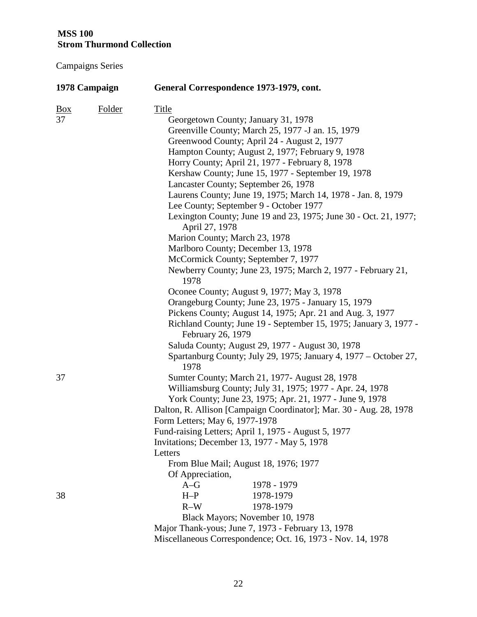| 1978 Campaign     |               | General Correspondence 1973-1979, cont.                                  |  |  |
|-------------------|---------------|--------------------------------------------------------------------------|--|--|
| $\underline{Box}$ | <b>Folder</b> | <b>Title</b>                                                             |  |  |
| 37                |               | Georgetown County; January 31, 1978                                      |  |  |
|                   |               | Greenville County; March 25, 1977 - J an. 15, 1979                       |  |  |
|                   |               | Greenwood County; April 24 - August 2, 1977                              |  |  |
|                   |               | Hampton County; August 2, 1977; February 9, 1978                         |  |  |
|                   |               | Horry County; April 21, 1977 - February 8, 1978                          |  |  |
|                   |               | Kershaw County; June 15, 1977 - September 19, 1978                       |  |  |
|                   |               | Lancaster County; September 26, 1978                                     |  |  |
|                   |               | Laurens County; June 19, 1975; March 14, 1978 - Jan. 8, 1979             |  |  |
|                   |               | Lee County; September 9 - October 1977                                   |  |  |
|                   |               | Lexington County; June 19 and 23, 1975; June 30 - Oct. 21, 1977;         |  |  |
|                   |               | April 27, 1978                                                           |  |  |
|                   |               | Marion County; March 23, 1978                                            |  |  |
|                   |               | Marlboro County; December 13, 1978                                       |  |  |
|                   |               | McCormick County; September 7, 1977                                      |  |  |
|                   |               | Newberry County; June 23, 1975; March 2, 1977 - February 21,<br>1978     |  |  |
|                   |               | Oconee County; August 9, 1977; May 3, 1978                               |  |  |
|                   |               | Orangeburg County; June 23, 1975 - January 15, 1979                      |  |  |
|                   |               | Pickens County; August 14, 1975; Apr. 21 and Aug. 3, 1977                |  |  |
|                   |               | Richland County; June 19 - September 15, 1975; January 3, 1977 -         |  |  |
|                   |               | February 26, 1979                                                        |  |  |
|                   |               | Saluda County; August 29, 1977 - August 30, 1978                         |  |  |
|                   |               | Spartanburg County; July 29, 1975; January 4, 1977 – October 27,<br>1978 |  |  |
| 37                |               | Sumter County; March 21, 1977- August 28, 1978                           |  |  |
|                   |               | Williamsburg County; July 31, 1975; 1977 - Apr. 24, 1978                 |  |  |
|                   |               | York County; June 23, 1975; Apr. 21, 1977 - June 9, 1978                 |  |  |
|                   |               | Dalton, R. Allison [Campaign Coordinator]; Mar. 30 - Aug. 28, 1978       |  |  |
|                   |               | Form Letters; May 6, 1977-1978                                           |  |  |
|                   |               | Fund-raising Letters; April 1, 1975 - August 5, 1977                     |  |  |
|                   |               | Invitations; December 13, 1977 - May 5, 1978                             |  |  |
|                   |               | Letters                                                                  |  |  |
|                   |               | From Blue Mail; August 18, 1976; 1977                                    |  |  |
|                   |               | Of Appreciation,                                                         |  |  |
|                   |               | 1978 - 1979<br>$A-G$                                                     |  |  |
| 38                |               | $H-P$<br>1978-1979                                                       |  |  |
|                   |               | $R-W$<br>1978-1979                                                       |  |  |
|                   |               | Black Mayors; November 10, 1978                                          |  |  |
|                   |               | Major Thank-yous; June 7, 1973 - February 13, 1978                       |  |  |
|                   |               | Miscellaneous Correspondence; Oct. 16, 1973 - Nov. 14, 1978              |  |  |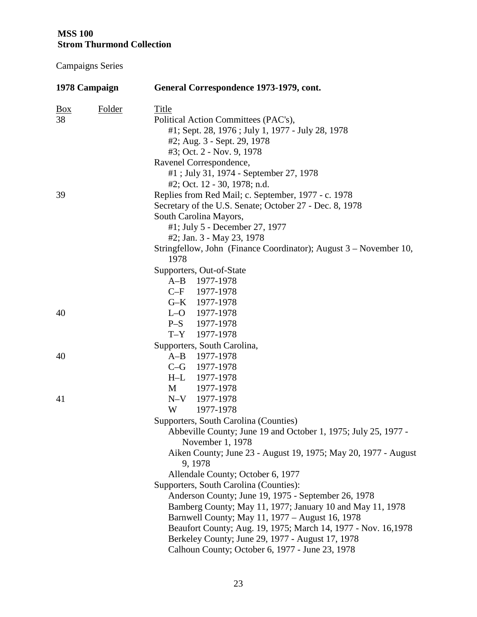| 1978 Campaign                                                     | General Correspondence 1973-1979, cont. |  |  |
|-------------------------------------------------------------------|-----------------------------------------|--|--|
| $\underline{Box}$<br><b>Folder</b><br><b>Title</b>                |                                         |  |  |
| 38<br>Political Action Committees (PAC's),                        |                                         |  |  |
| #1; Sept. 28, 1976; July 1, 1977 - July 28, 1978                  |                                         |  |  |
| #2; Aug. 3 - Sept. 29, 1978                                       |                                         |  |  |
| #3; Oct. 2 - Nov. 9, 1978                                         |                                         |  |  |
| Ravenel Correspondence,                                           |                                         |  |  |
| #1; July 31, 1974 - September 27, 1978                            |                                         |  |  |
| #2; Oct. 12 - 30, 1978; n.d.                                      |                                         |  |  |
| Replies from Red Mail; c. September, 1977 - c. 1978<br>39         |                                         |  |  |
| Secretary of the U.S. Senate; October 27 - Dec. 8, 1978           |                                         |  |  |
| South Carolina Mayors,                                            |                                         |  |  |
| #1; July 5 - December 27, 1977                                    |                                         |  |  |
| #2; Jan. 3 - May 23, 1978                                         |                                         |  |  |
| Stringfellow, John (Finance Coordinator); August 3 – November 10, |                                         |  |  |
| 1978                                                              |                                         |  |  |
| Supporters, Out-of-State                                          |                                         |  |  |
| A-B 1977-1978                                                     |                                         |  |  |
| C-F 1977-1978                                                     |                                         |  |  |
| G-K 1977-1978                                                     |                                         |  |  |
| 40<br>$L-O$ 1977-1978                                             |                                         |  |  |
| P-S 1977-1978                                                     |                                         |  |  |
| $T - Y$<br>1977-1978                                              |                                         |  |  |
| Supporters, South Carolina,                                       |                                         |  |  |
| 40<br>$A-B$<br>1977-1978                                          |                                         |  |  |
| C-G 1977-1978                                                     |                                         |  |  |
| 1977-1978<br>$H-L$                                                |                                         |  |  |
| M<br>1977-1978                                                    |                                         |  |  |
| N-V 1977-1978<br>41                                               |                                         |  |  |
| W<br>1977-1978                                                    |                                         |  |  |
| Supporters, South Carolina (Counties)                             |                                         |  |  |
| Abbeville County; June 19 and October 1, 1975; July 25, 1977      |                                         |  |  |
| November 1, 1978                                                  |                                         |  |  |
| Aiken County; June 23 - August 19, 1975; May 20, 1977 - August    |                                         |  |  |
| 9, 1978                                                           |                                         |  |  |
| Allendale County; October 6, 1977                                 |                                         |  |  |
| Supporters, South Carolina (Counties):                            |                                         |  |  |
| Anderson County; June 19, 1975 - September 26, 1978               |                                         |  |  |
| Bamberg County; May 11, 1977; January 10 and May 11, 1978         |                                         |  |  |
| Barnwell County; May 11, 1977 - August 16, 1978                   |                                         |  |  |
| Beaufort County; Aug. 19, 1975; March 14, 1977 - Nov. 16,1978     |                                         |  |  |
| Berkeley County; June 29, 1977 - August 17, 1978                  |                                         |  |  |
| Calhoun County; October 6, 1977 - June 23, 1978                   |                                         |  |  |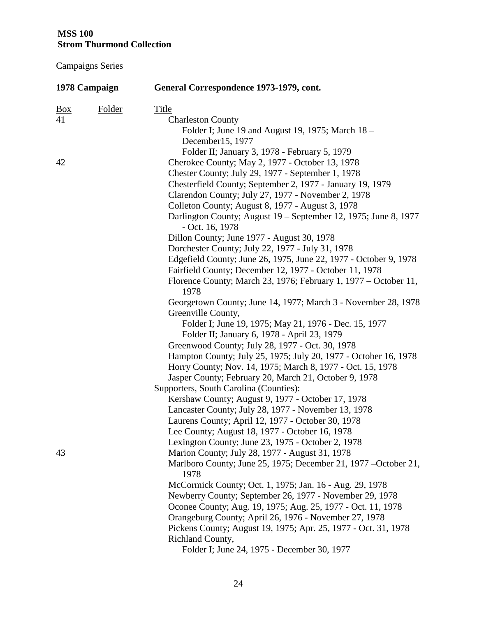| 1978 Campaign  |               | General Correspondence 1973-1979, cont.                                            |  |  |
|----------------|---------------|------------------------------------------------------------------------------------|--|--|
| $\frac{Box}{}$ | <b>Folder</b> | <b>Title</b>                                                                       |  |  |
| 41             |               | <b>Charleston County</b>                                                           |  |  |
|                |               | Folder I; June 19 and August 19, 1975; March 18 –                                  |  |  |
|                |               | December15, 1977                                                                   |  |  |
|                |               | Folder II; January 3, 1978 - February 5, 1979                                      |  |  |
| 42             |               | Cherokee County; May 2, 1977 - October 13, 1978                                    |  |  |
|                |               | Chester County; July 29, 1977 - September 1, 1978                                  |  |  |
|                |               | Chesterfield County; September 2, 1977 - January 19, 1979                          |  |  |
|                |               | Clarendon County; July 27, 1977 - November 2, 1978                                 |  |  |
|                |               | Colleton County; August 8, 1977 - August 3, 1978                                   |  |  |
|                |               | Darlington County; August 19 – September 12, 1975; June 8, 1977<br>- Oct. 16, 1978 |  |  |
|                |               | Dillon County; June 1977 - August 30, 1978                                         |  |  |
|                |               | Dorchester County; July 22, 1977 - July 31, 1978                                   |  |  |
|                |               | Edgefield County; June 26, 1975, June 22, 1977 - October 9, 1978                   |  |  |
|                |               | Fairfield County; December 12, 1977 - October 11, 1978                             |  |  |
|                |               | Florence County; March 23, 1976; February 1, 1977 – October 11,<br>1978            |  |  |
|                |               | Georgetown County; June 14, 1977; March 3 - November 28, 1978                      |  |  |
|                |               | Greenville County,                                                                 |  |  |
|                |               | Folder I; June 19, 1975; May 21, 1976 - Dec. 15, 1977                              |  |  |
|                |               | Folder II; January 6, 1978 - April 23, 1979                                        |  |  |
|                |               | Greenwood County; July 28, 1977 - Oct. 30, 1978                                    |  |  |
|                |               | Hampton County; July 25, 1975; July 20, 1977 - October 16, 1978                    |  |  |
|                |               | Horry County; Nov. 14, 1975; March 8, 1977 - Oct. 15, 1978                         |  |  |
|                |               | Jasper County; February 20, March 21, October 9, 1978                              |  |  |
|                |               | Supporters, South Carolina (Counties):                                             |  |  |
|                |               | Kershaw County; August 9, 1977 - October 17, 1978                                  |  |  |
|                |               | Lancaster County; July 28, 1977 - November 13, 1978                                |  |  |
|                |               | Laurens County; April 12, 1977 - October 30, 1978                                  |  |  |
|                |               | Lee County; August 18, 1977 - October 16, 1978                                     |  |  |
|                |               | Lexington County; June 23, 1975 - October 2, 1978                                  |  |  |
| 43             |               | Marion County; July 28, 1977 - August 31, 1978                                     |  |  |
|                |               | Marlboro County; June 25, 1975; December 21, 1977 – October 21,<br>1978            |  |  |
|                |               | McCormick County; Oct. 1, 1975; Jan. 16 - Aug. 29, 1978                            |  |  |
|                |               | Newberry County; September 26, 1977 - November 29, 1978                            |  |  |
|                |               | Oconee County; Aug. 19, 1975; Aug. 25, 1977 - Oct. 11, 1978                        |  |  |
|                |               | Orangeburg County; April 26, 1976 - November 27, 1978                              |  |  |
|                |               | Pickens County; August 19, 1975; Apr. 25, 1977 - Oct. 31, 1978                     |  |  |
|                |               | Richland County,                                                                   |  |  |
|                |               | Folder I; June 24, 1975 - December 30, 1977                                        |  |  |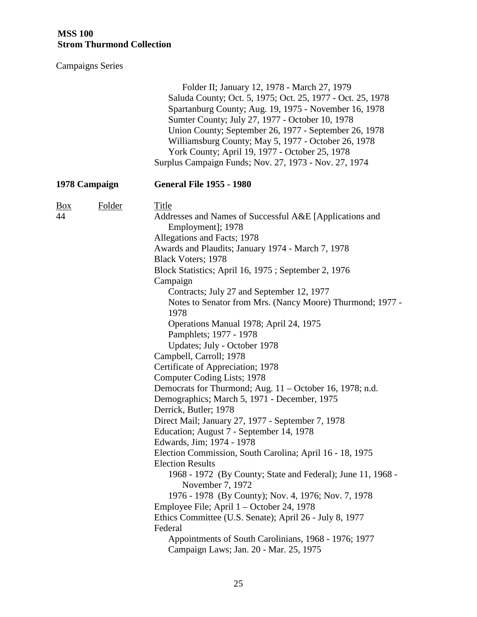|                                | Folder II; January 12, 1978 - March 27, 1979<br>Saluda County; Oct. 5, 1975; Oct. 25, 1977 - Oct. 25, 1978<br>Spartanburg County; Aug. 19, 1975 - November 16, 1978<br>Sumter County; July 27, 1977 - October 10, 1978<br>Union County; September 26, 1977 - September 26, 1978<br>Williamsburg County; May 5, 1977 - October 26, 1978<br>York County; April 19, 1977 - October 25, 1978<br>Surplus Campaign Funds; Nov. 27, 1973 - Nov. 27, 1974                                                                                                                                                                                                                                                                                                                                                                                                                                                                                                                                                                                                                                                                                                                                                                                                                                                                |  |
|--------------------------------|------------------------------------------------------------------------------------------------------------------------------------------------------------------------------------------------------------------------------------------------------------------------------------------------------------------------------------------------------------------------------------------------------------------------------------------------------------------------------------------------------------------------------------------------------------------------------------------------------------------------------------------------------------------------------------------------------------------------------------------------------------------------------------------------------------------------------------------------------------------------------------------------------------------------------------------------------------------------------------------------------------------------------------------------------------------------------------------------------------------------------------------------------------------------------------------------------------------------------------------------------------------------------------------------------------------|--|
| 1978 Campaign                  | <b>General File 1955 - 1980</b>                                                                                                                                                                                                                                                                                                                                                                                                                                                                                                                                                                                                                                                                                                                                                                                                                                                                                                                                                                                                                                                                                                                                                                                                                                                                                  |  |
| Folder<br>$\frac{Box}{}$<br>44 | Title<br>Addresses and Names of Successful A&E [Applications and<br>Employment]; 1978<br>Allegations and Facts; 1978<br>Awards and Plaudits; January 1974 - March 7, 1978<br>Black Voters; 1978<br>Block Statistics; April 16, 1975; September 2, 1976<br>Campaign<br>Contracts; July 27 and September 12, 1977<br>Notes to Senator from Mrs. (Nancy Moore) Thurmond; 1977 -<br>1978<br>Operations Manual 1978; April 24, 1975<br>Pamphlets; 1977 - 1978<br>Updates; July - October 1978<br>Campbell, Carroll; 1978<br>Certificate of Appreciation; 1978<br>Computer Coding Lists; 1978<br>Democrats for Thurmond; Aug. 11 – October 16, 1978; n.d.<br>Demographics; March 5, 1971 - December, 1975<br>Derrick, Butler; 1978<br>Direct Mail; January 27, 1977 - September 7, 1978<br>Education; August 7 - September 14, 1978<br>Edwards, Jim; 1974 - 1978<br>Election Commission, South Carolina; April 16 - 18, 1975<br><b>Election Results</b><br>1968 - 1972 (By County; State and Federal); June 11, 1968 -<br>November 7, 1972<br>1976 - 1978 (By County); Nov. 4, 1976; Nov. 7, 1978<br>Employee File; April 1 – October 24, 1978<br>Ethics Committee (U.S. Senate); April 26 - July 8, 1977<br>Federal<br>Appointments of South Carolinians, 1968 - 1976; 1977<br>Campaign Laws; Jan. 20 - Mar. 25, 1975 |  |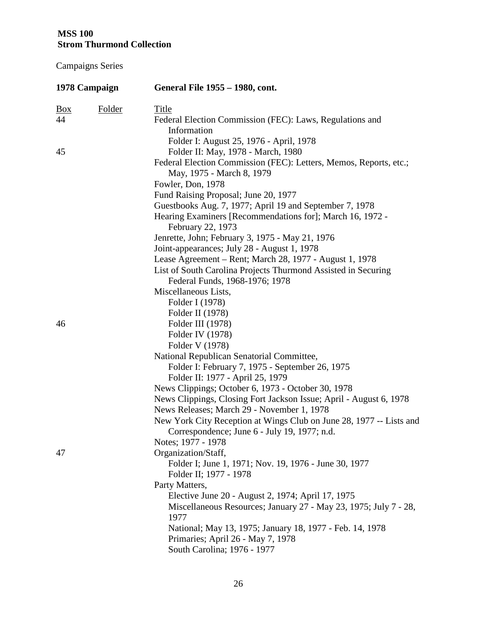| 1978 Campaign  |               | General File 1955 – 1980, cont.                                                |  |  |
|----------------|---------------|--------------------------------------------------------------------------------|--|--|
| $\frac{Box}{}$ | <b>Folder</b> | <b>Title</b>                                                                   |  |  |
| 44             |               | Federal Election Commission (FEC): Laws, Regulations and<br>Information        |  |  |
|                |               | Folder I: August 25, 1976 - April, 1978                                        |  |  |
| 45             |               | Folder II: May, 1978 - March, 1980                                             |  |  |
|                |               | Federal Election Commission (FEC): Letters, Memos, Reports, etc.;              |  |  |
|                |               | May, 1975 - March 8, 1979                                                      |  |  |
|                |               | Fowler, Don, 1978                                                              |  |  |
|                |               | Fund Raising Proposal; June 20, 1977                                           |  |  |
|                |               | Guestbooks Aug. 7, 1977; April 19 and September 7, 1978                        |  |  |
|                |               | Hearing Examiners [Recommendations for]; March 16, 1972 -<br>February 22, 1973 |  |  |
|                |               | Jenrette, John; February 3, 1975 - May 21, 1976                                |  |  |
|                |               | Joint-appearances; July 28 - August 1, 1978                                    |  |  |
|                |               | Lease Agreement – Rent; March 28, 1977 - August 1, 1978                        |  |  |
|                |               | List of South Carolina Projects Thurmond Assisted in Securing                  |  |  |
|                |               | Federal Funds, 1968-1976; 1978                                                 |  |  |
|                |               | Miscellaneous Lists,                                                           |  |  |
|                |               | Folder I (1978)                                                                |  |  |
|                |               | Folder II (1978)                                                               |  |  |
| 46             |               | Folder III (1978)                                                              |  |  |
|                |               | Folder IV (1978)                                                               |  |  |
|                |               | Folder V (1978)                                                                |  |  |
|                |               | National Republican Senatorial Committee,                                      |  |  |
|                |               | Folder I: February 7, 1975 - September 26, 1975                                |  |  |
|                |               | Folder II: 1977 - April 25, 1979                                               |  |  |
|                |               | News Clippings; October 6, 1973 - October 30, 1978                             |  |  |
|                |               | News Clippings, Closing Fort Jackson Issue; April - August 6, 1978             |  |  |
|                |               | News Releases; March 29 - November 1, 1978                                     |  |  |
|                |               | New York City Reception at Wings Club on June 28, 1977 -- Lists and            |  |  |
|                |               | Correspondence; June 6 - July 19, 1977; n.d.                                   |  |  |
|                |               | Notes; 1977 - 1978                                                             |  |  |
| 47             |               | Organization/Staff,                                                            |  |  |
|                |               | Folder I; June 1, 1971; Nov. 19, 1976 - June 30, 1977                          |  |  |
|                |               | Folder II; 1977 - 1978                                                         |  |  |
|                |               | Party Matters,                                                                 |  |  |
|                |               | Elective June 20 - August 2, 1974; April 17, 1975                              |  |  |
|                |               | Miscellaneous Resources; January 27 - May 23, 1975; July 7 - 28,<br>1977       |  |  |
|                |               | National; May 13, 1975; January 18, 1977 - Feb. 14, 1978                       |  |  |
|                |               | Primaries; April 26 - May 7, 1978                                              |  |  |
|                |               | South Carolina; 1976 - 1977                                                    |  |  |
|                |               |                                                                                |  |  |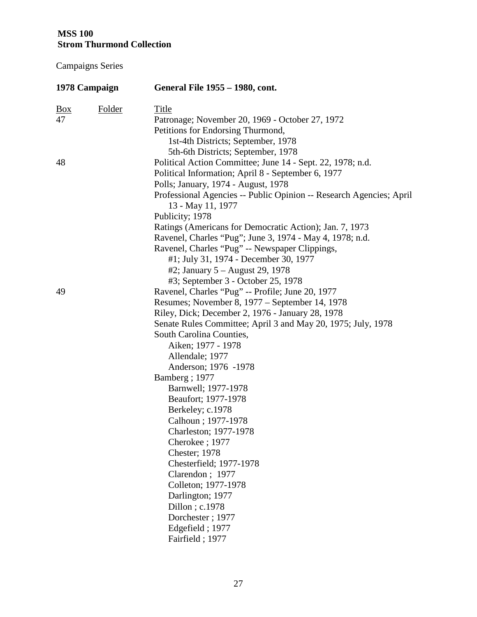| 1978 Campaign     |               | General File 1955 – 1980, cont.                                                          |  |  |
|-------------------|---------------|------------------------------------------------------------------------------------------|--|--|
| $\underline{Box}$ | <b>Folder</b> | <b>Title</b>                                                                             |  |  |
| 47                |               | Patronage; November 20, 1969 - October 27, 1972                                          |  |  |
|                   |               | Petitions for Endorsing Thurmond,                                                        |  |  |
|                   |               | 1st-4th Districts; September, 1978                                                       |  |  |
|                   |               | 5th-6th Districts; September, 1978                                                       |  |  |
| 48                |               | Political Action Committee; June 14 - Sept. 22, 1978; n.d.                               |  |  |
|                   |               | Political Information; April 8 - September 6, 1977                                       |  |  |
|                   |               | Polls; January, 1974 - August, 1978                                                      |  |  |
|                   |               | Professional Agencies -- Public Opinion -- Research Agencies; April<br>13 - May 11, 1977 |  |  |
|                   |               | Publicity; 1978                                                                          |  |  |
|                   |               | Ratings (Americans for Democratic Action); Jan. 7, 1973                                  |  |  |
|                   |               | Ravenel, Charles "Pug"; June 3, 1974 - May 4, 1978; n.d.                                 |  |  |
|                   |               | Ravenel, Charles "Pug" -- Newspaper Clippings,                                           |  |  |
|                   |               | #1; July 31, 1974 - December 30, 1977                                                    |  |  |
|                   |               | #2; January 5 - August 29, 1978                                                          |  |  |
|                   |               | #3; September 3 - October 25, 1978                                                       |  |  |
| 49                |               | Ravenel, Charles "Pug" -- Profile; June 20, 1977                                         |  |  |
|                   |               | Resumes; November 8, 1977 – September 14, 1978                                           |  |  |
|                   |               | Riley, Dick; December 2, 1976 - January 28, 1978                                         |  |  |
|                   |               | Senate Rules Committee; April 3 and May 20, 1975; July, 1978                             |  |  |
|                   |               | South Carolina Counties,                                                                 |  |  |
|                   |               | Aiken; 1977 - 1978                                                                       |  |  |
|                   |               | Allendale; 1977                                                                          |  |  |
|                   |               | Anderson; 1976 -1978                                                                     |  |  |
|                   |               | Bamberg; 1977                                                                            |  |  |
|                   |               | Barnwell; 1977-1978                                                                      |  |  |
|                   |               | Beaufort; 1977-1978                                                                      |  |  |
|                   |               | Berkeley; c.1978                                                                         |  |  |
|                   |               | Calhoun; 1977-1978                                                                       |  |  |
|                   |               | Charleston; 1977-1978                                                                    |  |  |
|                   |               | Cherokee; 1977                                                                           |  |  |
|                   |               | <b>Chester</b> ; 1978                                                                    |  |  |
|                   |               | Chesterfield; 1977-1978                                                                  |  |  |
|                   |               | Clarendon; 1977                                                                          |  |  |
|                   |               | Colleton; 1977-1978                                                                      |  |  |
|                   |               | Darlington; 1977                                                                         |  |  |
|                   |               | Dillon; c.1978                                                                           |  |  |
|                   |               | Dorchester; 1977                                                                         |  |  |
|                   |               | Edgefield; 1977                                                                          |  |  |
|                   |               | Fairfield; 1977                                                                          |  |  |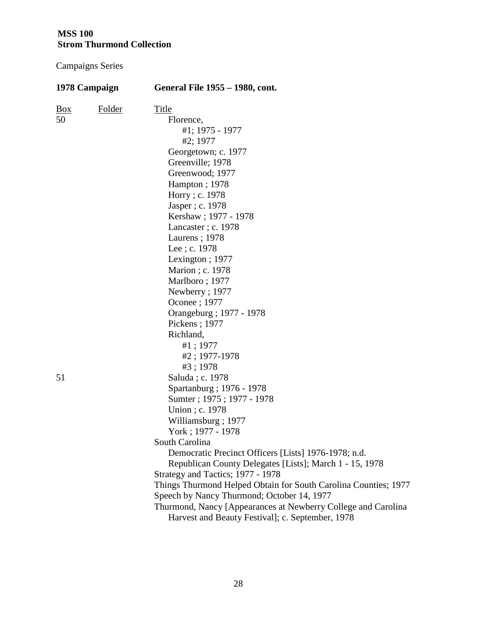| 1978 Campaign            |        | General File 1955 – 1980, cont.                                                                                   |  |
|--------------------------|--------|-------------------------------------------------------------------------------------------------------------------|--|
| $\frac{Box}{\sqrt{Box}}$ | Folder | <b>Title</b>                                                                                                      |  |
| 50                       |        | Florence,                                                                                                         |  |
|                          |        | #1; 1975 - 1977                                                                                                   |  |
|                          |        | #2; 1977                                                                                                          |  |
|                          |        | Georgetown; c. 1977                                                                                               |  |
|                          |        | Greenville; 1978                                                                                                  |  |
|                          |        | Greenwood; 1977                                                                                                   |  |
|                          |        | Hampton; 1978                                                                                                     |  |
|                          |        | Horry; c. 1978                                                                                                    |  |
|                          |        | Jasper; c. 1978                                                                                                   |  |
|                          |        | Kershaw; 1977 - 1978                                                                                              |  |
|                          |        | Lancaster; c. 1978                                                                                                |  |
|                          |        | Laurens; 1978                                                                                                     |  |
|                          |        | Lee; c. 1978                                                                                                      |  |
|                          |        | Lexington; $1977$                                                                                                 |  |
|                          |        | Marion; c. 1978                                                                                                   |  |
|                          |        | Marlboro; 1977                                                                                                    |  |
|                          |        | Newberry; 1977                                                                                                    |  |
|                          |        | Oconee ; 1977                                                                                                     |  |
|                          |        | Orangeburg ; 1977 - 1978                                                                                          |  |
|                          |        | Pickens; 1977                                                                                                     |  |
|                          |        | Richland,                                                                                                         |  |
|                          |        | #1; 1977                                                                                                          |  |
|                          |        | #2; 1977-1978                                                                                                     |  |
|                          |        | #3; 1978                                                                                                          |  |
| 51                       |        | Saluda; c. 1978                                                                                                   |  |
|                          |        | Spartanburg ; 1976 - 1978                                                                                         |  |
|                          |        | Sumter; 1975; 1977 - 1978                                                                                         |  |
|                          |        | Union; c. 1978                                                                                                    |  |
|                          |        | Williamsburg; 1977                                                                                                |  |
|                          |        | York; 1977 - 1978                                                                                                 |  |
|                          |        | South Carolina                                                                                                    |  |
|                          |        | Democratic Precinct Officers [Lists] 1976-1978; n.d.                                                              |  |
|                          |        | Republican County Delegates [Lists]; March 1 - 15, 1978                                                           |  |
|                          |        | Strategy and Tactics; 1977 - 1978                                                                                 |  |
|                          |        | Things Thurmond Helped Obtain for South Carolina Counties; 1977                                                   |  |
|                          |        | Speech by Nancy Thurmond; October 14, 1977                                                                        |  |
|                          |        | Thurmond, Nancy [Appearances at Newberry College and Carolina<br>Harvest and Beauty Festival]; c. September, 1978 |  |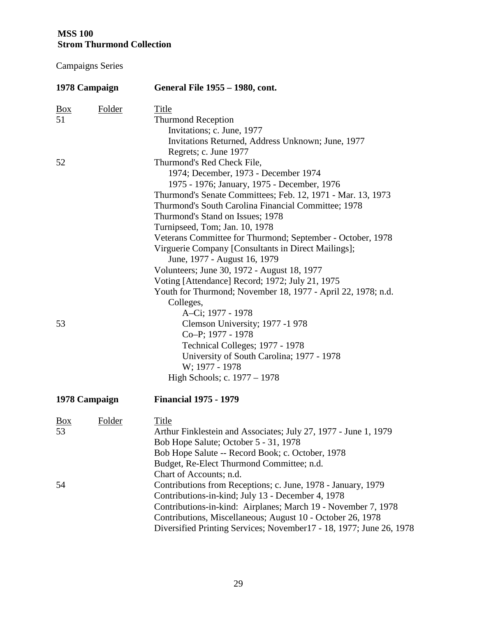| 1978 Campaign     |               | General File 1955 – 1980, cont.                                     |  |  |
|-------------------|---------------|---------------------------------------------------------------------|--|--|
| $\underline{Box}$ | <b>Folder</b> | Title                                                               |  |  |
| 51                |               | <b>Thurmond Reception</b>                                           |  |  |
|                   |               | Invitations; c. June, 1977                                          |  |  |
|                   |               | Invitations Returned, Address Unknown; June, 1977                   |  |  |
|                   |               | Regrets; c. June 1977                                               |  |  |
| 52                |               | Thurmond's Red Check File,                                          |  |  |
|                   |               | 1974; December, 1973 - December 1974                                |  |  |
|                   |               | 1975 - 1976; January, 1975 - December, 1976                         |  |  |
|                   |               | Thurmond's Senate Committees; Feb. 12, 1971 - Mar. 13, 1973         |  |  |
|                   |               | Thurmond's South Carolina Financial Committee; 1978                 |  |  |
|                   |               | Thurmond's Stand on Issues; 1978                                    |  |  |
|                   |               | Turnipseed, Tom; Jan. 10, 1978                                      |  |  |
|                   |               | Veterans Committee for Thurmond; September - October, 1978          |  |  |
|                   |               | Virguerie Company [Consultants in Direct Mailings];                 |  |  |
|                   |               | June, 1977 - August 16, 1979                                        |  |  |
|                   |               | Volunteers; June 30, 1972 - August 18, 1977                         |  |  |
|                   |               | Voting [Attendance] Record; 1972; July 21, 1975                     |  |  |
|                   |               | Youth for Thurmond; November 18, 1977 - April 22, 1978; n.d.        |  |  |
|                   |               | Colleges,                                                           |  |  |
|                   |               | A-Ci; 1977 - 1978                                                   |  |  |
| 53                |               | Clemson University; 1977 -1978                                      |  |  |
|                   |               | Co-P; 1977 - 1978                                                   |  |  |
|                   |               | Technical Colleges; 1977 - 1978                                     |  |  |
|                   |               | University of South Carolina; 1977 - 1978                           |  |  |
|                   |               | W; 1977 - 1978                                                      |  |  |
|                   |               | High Schools; c. 1977 – 1978                                        |  |  |
|                   | 1978 Campaign | <b>Financial 1975 - 1979</b>                                        |  |  |
| <u>Box</u>        | Folder        | Title                                                               |  |  |
| 53                |               | Arthur Finklestein and Associates; July 27, 1977 - June 1, 1979     |  |  |
|                   |               | Bob Hope Salute; October 5 - 31, 1978                               |  |  |
|                   |               | Bob Hope Salute -- Record Book; c. October, 1978                    |  |  |
|                   |               | Budget, Re-Elect Thurmond Committee; n.d.                           |  |  |
|                   |               | Chart of Accounts; n.d.                                             |  |  |
| 54                |               | Contributions from Receptions; c. June, 1978 - January, 1979        |  |  |
|                   |               | Contributions-in-kind; July 13 - December 4, 1978                   |  |  |
|                   |               | Contributions-in-kind: Airplanes; March 19 - November 7, 1978       |  |  |
|                   |               | Contributions, Miscellaneous; August 10 - October 26, 1978          |  |  |
|                   |               | Diversified Printing Services; November17 - 18, 1977; June 26, 1978 |  |  |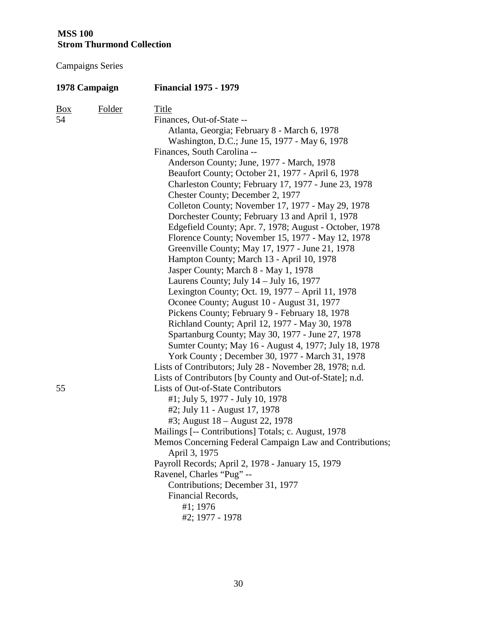| 1978 Campaign |               | <b>Financial 1975 - 1979</b>                             |  |
|---------------|---------------|----------------------------------------------------------|--|
| <u>Box</u>    | <b>Folder</b> | Title                                                    |  |
| 54            |               | Finances, Out-of-State --                                |  |
|               |               | Atlanta, Georgia; February 8 - March 6, 1978             |  |
|               |               | Washington, D.C.; June 15, 1977 - May 6, 1978            |  |
|               |               | Finances, South Carolina --                              |  |
|               |               | Anderson County; June, 1977 - March, 1978                |  |
|               |               | Beaufort County; October 21, 1977 - April 6, 1978        |  |
|               |               | Charleston County; February 17, 1977 - June 23, 1978     |  |
|               |               | Chester County; December 2, 1977                         |  |
|               |               | Colleton County; November 17, 1977 - May 29, 1978        |  |
|               |               | Dorchester County; February 13 and April 1, 1978         |  |
|               |               | Edgefield County; Apr. 7, 1978; August - October, 1978   |  |
|               |               | Florence County; November 15, 1977 - May 12, 1978        |  |
|               |               | Greenville County; May 17, 1977 - June 21, 1978          |  |
|               |               | Hampton County; March 13 - April 10, 1978                |  |
|               |               | Jasper County; March 8 - May 1, 1978                     |  |
|               |               | Laurens County; July $14 -$ July 16, 1977                |  |
|               |               | Lexington County; Oct. 19, 1977 – April 11, 1978         |  |
|               |               | Oconee County; August 10 - August 31, 1977               |  |
|               |               | Pickens County; February 9 - February 18, 1978           |  |
|               |               | Richland County; April 12, 1977 - May 30, 1978           |  |
|               |               | Spartanburg County; May 30, 1977 - June 27, 1978         |  |
|               |               | Sumter County; May 16 - August 4, 1977; July 18, 1978    |  |
|               |               | York County; December 30, 1977 - March 31, 1978          |  |
|               |               | Lists of Contributors; July 28 - November 28, 1978; n.d. |  |
|               |               | Lists of Contributors [by County and Out-of-State]; n.d. |  |
| 55            |               | <b>Lists of Out-of-State Contributors</b>                |  |
|               |               | #1; July 5, 1977 - July 10, 1978                         |  |
|               |               | #2; July 11 - August 17, 1978                            |  |
|               |               | #3; August 18 – August 22, 1978                          |  |
|               |               | Mailings [-- Contributions] Totals; c. August, 1978      |  |
|               |               | Memos Concerning Federal Campaign Law and Contributions; |  |
|               |               | April 3, 1975                                            |  |
|               |               | Payroll Records; April 2, 1978 - January 15, 1979        |  |
|               |               | Ravenel, Charles "Pug" --                                |  |
|               |               | Contributions; December 31, 1977                         |  |
|               |               | Financial Records,                                       |  |
|               |               | $#1$ ; 1976                                              |  |
|               |               | #2; 1977 - 1978                                          |  |
|               |               |                                                          |  |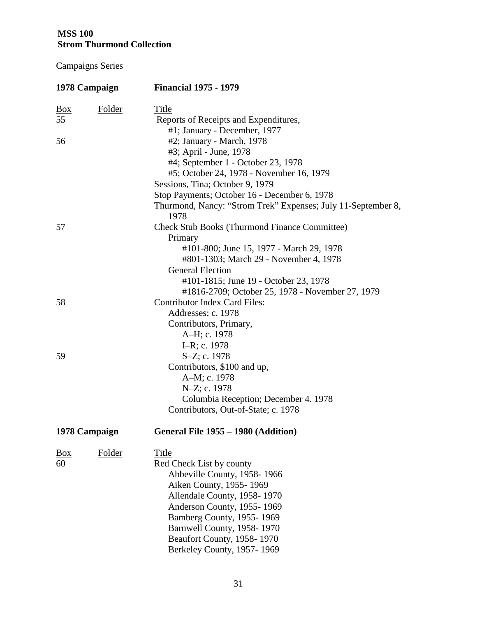| 1978 Campaign  |               | <b>Financial 1975 - 1979</b>                                         |  |  |
|----------------|---------------|----------------------------------------------------------------------|--|--|
| $\frac{Box}{}$ | <b>Folder</b> | Title                                                                |  |  |
| 55             |               | Reports of Receipts and Expenditures,                                |  |  |
|                |               | #1; January - December, 1977                                         |  |  |
| 56             |               | #2; January - March, 1978                                            |  |  |
|                |               | #3; April - June, 1978                                               |  |  |
|                |               | #4; September 1 - October 23, 1978                                   |  |  |
|                |               | #5; October 24, 1978 - November 16, 1979                             |  |  |
|                |               | Sessions, Tina; October 9, 1979                                      |  |  |
|                |               | Stop Payments; October 16 - December 6, 1978                         |  |  |
|                |               | Thurmond, Nancy: "Strom Trek" Expenses; July 11-September 8,<br>1978 |  |  |
| 57             |               | <b>Check Stub Books (Thurmond Finance Committee)</b><br>Primary      |  |  |
|                |               | #101-800; June 15, 1977 - March 29, 1978                             |  |  |
|                |               | #801-1303; March 29 - November 4, 1978                               |  |  |
|                |               | <b>General Election</b>                                              |  |  |
|                |               | #101-1815; June 19 - October 23, 1978                                |  |  |
|                |               | #1816-2709; October 25, 1978 - November 27, 1979                     |  |  |
| 58             |               | <b>Contributor Index Card Files:</b>                                 |  |  |
|                |               | Addresses; c. 1978                                                   |  |  |
|                |               | Contributors, Primary,                                               |  |  |
|                |               | A-H; c. 1978                                                         |  |  |
|                |               | I-R; c. 1978                                                         |  |  |
| 59             |               | S-Z; c. 1978                                                         |  |  |
|                |               | Contributors, \$100 and up,                                          |  |  |
|                |               | A-M; c. 1978                                                         |  |  |
|                |               | N-Z; c. 1978                                                         |  |  |
|                |               | Columbia Reception; December 4. 1978                                 |  |  |
|                |               | Contributors, Out-of-State; c. 1978                                  |  |  |
|                | 1978 Campaign | General File 1955 - 1980 (Addition)                                  |  |  |
| $\frac{Box}{}$ | Folder        | <b>Title</b>                                                         |  |  |
| 60             |               | Red Check List by county                                             |  |  |
|                |               | Abbeville County, 1958-1966                                          |  |  |
|                |               | Aiken County, 1955-1969                                              |  |  |
|                |               | Allendale County, 1958-1970                                          |  |  |
|                |               | Anderson County, 1955-1969                                           |  |  |
|                |               | Bamberg County, 1955-1969                                            |  |  |
|                |               | Barnwell County, 1958-1970                                           |  |  |
|                |               | Beaufort County, 1958-1970                                           |  |  |
|                |               | Berkeley County, 1957-1969                                           |  |  |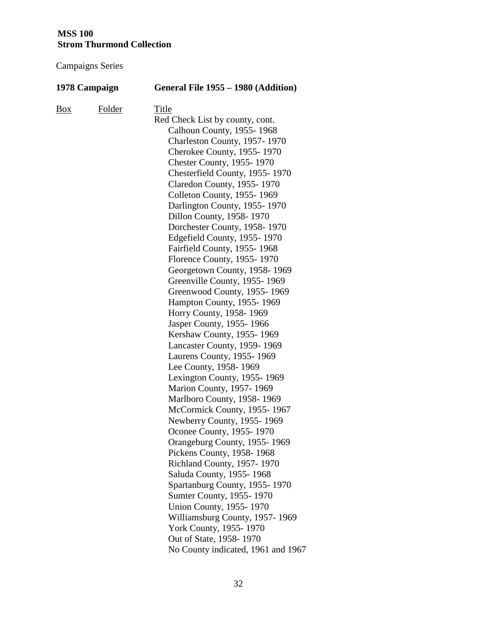| 1978 Campaign |        | General File 1955 - 1980 (Addition)                                                                                                                                                                                                                                                                                                                                                                                                                                                                                                                                                                                                                                                                                                                                                                                                                                                                                                                                                                                                                                                                                                                                                                                                                                                                                   |
|---------------|--------|-----------------------------------------------------------------------------------------------------------------------------------------------------------------------------------------------------------------------------------------------------------------------------------------------------------------------------------------------------------------------------------------------------------------------------------------------------------------------------------------------------------------------------------------------------------------------------------------------------------------------------------------------------------------------------------------------------------------------------------------------------------------------------------------------------------------------------------------------------------------------------------------------------------------------------------------------------------------------------------------------------------------------------------------------------------------------------------------------------------------------------------------------------------------------------------------------------------------------------------------------------------------------------------------------------------------------|
| $B_{0X}$      | Folder | Title<br>Red Check List by county, cont.<br>Calhoun County, 1955-1968<br>Charleston County, 1957-1970<br>Cherokee County, 1955-1970<br><b>Chester County, 1955-1970</b><br>Chesterfield County, 1955-1970<br>Claredon County, 1955-1970<br>Colleton County, 1955-1969<br>Darlington County, 1955-1970<br>Dillon County, 1958-1970<br>Dorchester County, 1958-1970<br>Edgefield County, 1955-1970<br>Fairfield County, 1955-1968<br>Florence County, 1955-1970<br>Georgetown County, 1958-1969<br>Greenville County, 1955-1969<br>Greenwood County, 1955-1969<br>Hampton County, 1955-1969<br>Horry County, 1958-1969<br>Jasper County, 1955-1966<br>Kershaw County, 1955-1969<br>Lancaster County, 1959-1969<br>Laurens County, 1955-1969<br>Lee County, 1958-1969<br>Lexington County, 1955-1969<br><b>Marion County, 1957-1969</b><br>Marlboro County, 1958-1969<br>McCormick County, 1955-1967<br>Newberry County, 1955-1969<br>Oconee County, 1955-1970<br>Orangeburg County, 1955-1969<br>Pickens County, 1958-1968<br>Richland County, 1957-1970<br>Saluda County, 1955-1968<br>Spartanburg County, 1955-1970<br>Sumter County, 1955-1970<br><b>Union County, 1955-1970</b><br>Williamsburg County, 1957-1969<br><b>York County, 1955-1970</b><br>Out of State, 1958-1970<br>No County indicated, 1961 and 1967 |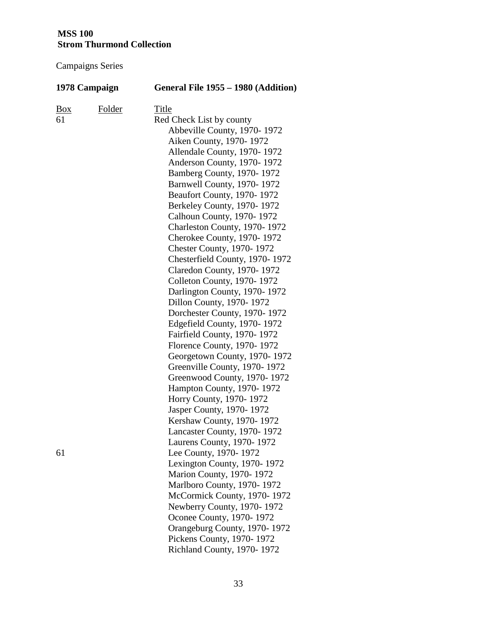| 1978 Campaign |        | General File 1955 - 1980 (Addition)                                                                                                                                                                                                                                                                                                                                                                                                                                                                                                                                                                                                                                                                                                  |  |  |
|---------------|--------|--------------------------------------------------------------------------------------------------------------------------------------------------------------------------------------------------------------------------------------------------------------------------------------------------------------------------------------------------------------------------------------------------------------------------------------------------------------------------------------------------------------------------------------------------------------------------------------------------------------------------------------------------------------------------------------------------------------------------------------|--|--|
| Box<br>61     | Folder | Title<br>Red Check List by county<br>Abbeville County, 1970-1972<br>Aiken County, 1970-1972<br>Allendale County, 1970-1972<br>Anderson County, 1970-1972<br>Bamberg County, 1970-1972<br>Barnwell County, 1970-1972<br>Beaufort County, 1970-1972<br>Berkeley County, 1970-1972<br>Calhoun County, 1970-1972<br>Charleston County, 1970-1972<br>Cherokee County, 1970-1972<br><b>Chester County, 1970-1972</b><br>Chesterfield County, 1970-1972<br>Claredon County, 1970-1972<br>Colleton County, 1970-1972<br>Darlington County, 1970-1972<br>Dillon County, 1970-1972<br>Dorchester County, 1970-1972<br>Edgefield County, 1970-1972<br>Fairfield County, 1970-1972<br>Florence County, 1970-1972<br>Georgetown County, 1970-1972 |  |  |
| 61            |        | Greenville County, 1970-1972<br>Greenwood County, 1970-1972<br>Hampton County, 1970-1972<br>Horry County, 1970-1972<br>Jasper County, 1970-1972<br>Kershaw County, 1970-1972<br>Lancaster County, 1970-1972<br>Laurens County, 1970-1972<br>Lee County, 1970-1972<br>Lexington County, 1970-1972<br><b>Marion County, 1970-1972</b><br>Marlboro County, 1970-1972<br>McCormick County, 1970-1972<br>Newberry County, 1970-1972<br>Oconee County, 1970-1972<br>Orangeburg County, 1970-1972<br>Pickens County, 1970-1972<br>Richland County, 1970-1972                                                                                                                                                                                |  |  |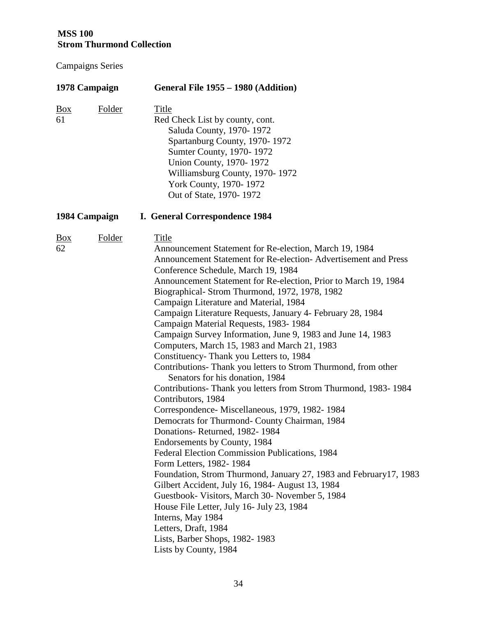| 1978 Campaign        |               | General File 1955 - 1980 (Addition)                                                                                                                                                                                                                                                                                                                                                                                                                                                                                                                                                                                                                                                                                                                                                                                                                                                                                                                                                                                                                                                                                                                                                                                                                                                                                                                                                     |  |  |  |
|----------------------|---------------|-----------------------------------------------------------------------------------------------------------------------------------------------------------------------------------------------------------------------------------------------------------------------------------------------------------------------------------------------------------------------------------------------------------------------------------------------------------------------------------------------------------------------------------------------------------------------------------------------------------------------------------------------------------------------------------------------------------------------------------------------------------------------------------------------------------------------------------------------------------------------------------------------------------------------------------------------------------------------------------------------------------------------------------------------------------------------------------------------------------------------------------------------------------------------------------------------------------------------------------------------------------------------------------------------------------------------------------------------------------------------------------------|--|--|--|
| $\frac{Box}{}$<br>61 | <b>Folder</b> | <b>Title</b><br>Red Check List by county, cont.<br>Saluda County, 1970-1972<br>Spartanburg County, 1970-1972<br>Sumter County, 1970-1972<br>Union County, 1970-1972<br>Williamsburg County, 1970-1972<br><b>York County, 1970-1972</b><br>Out of State, 1970-1972                                                                                                                                                                                                                                                                                                                                                                                                                                                                                                                                                                                                                                                                                                                                                                                                                                                                                                                                                                                                                                                                                                                       |  |  |  |
|                      | 1984 Campaign | I. General Correspondence 1984                                                                                                                                                                                                                                                                                                                                                                                                                                                                                                                                                                                                                                                                                                                                                                                                                                                                                                                                                                                                                                                                                                                                                                                                                                                                                                                                                          |  |  |  |
| <u>Box</u><br>62     | <b>Folder</b> | Title<br>Announcement Statement for Re-election, March 19, 1984<br>Announcement Statement for Re-election-Advertisement and Press<br>Conference Schedule, March 19, 1984<br>Announcement Statement for Re-election, Prior to March 19, 1984<br>Biographical-Strom Thurmond, 1972, 1978, 1982<br>Campaign Literature and Material, 1984<br>Campaign Literature Requests, January 4- February 28, 1984<br>Campaign Material Requests, 1983-1984<br>Campaign Survey Information, June 9, 1983 and June 14, 1983<br>Computers, March 15, 1983 and March 21, 1983<br>Constituency-Thank you Letters to, 1984<br>Contributions- Thank you letters to Strom Thurmond, from other<br>Senators for his donation, 1984<br>Contributions- Thank you letters from Strom Thurmond, 1983-1984<br>Contributors, 1984<br>Correspondence-Miscellaneous, 1979, 1982-1984<br>Democrats for Thurmond- County Chairman, 1984<br>Donations-Returned, 1982-1984<br>Endorsements by County, 1984<br>Federal Election Commission Publications, 1984<br>Form Letters, 1982-1984<br>Foundation, Strom Thurmond, January 27, 1983 and February 17, 1983<br>Gilbert Accident, July 16, 1984- August 13, 1984<br>Guestbook- Visitors, March 30- November 5, 1984<br>House File Letter, July 16- July 23, 1984<br>Interns, May 1984<br>Letters, Draft, 1984<br>Lists, Barber Shops, 1982-1983<br>Lists by County, 1984 |  |  |  |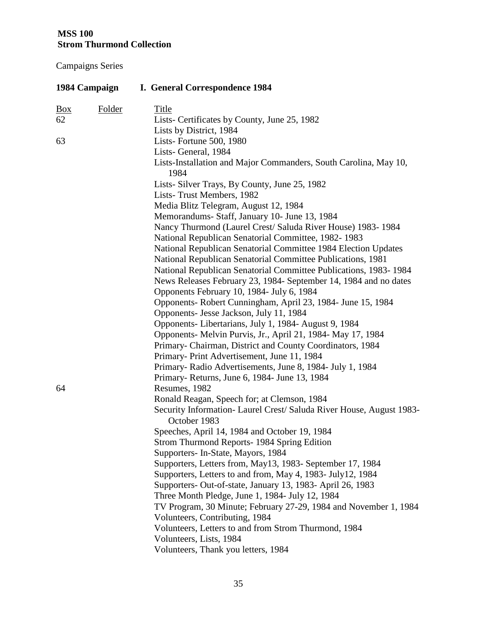| 1984 Campaign  |               | I. General Correspondence 1984                                                      |  |  |
|----------------|---------------|-------------------------------------------------------------------------------------|--|--|
| $\frac{Box}{}$ | <b>Folder</b> | <b>Title</b>                                                                        |  |  |
| 62             |               | Lists- Certificates by County, June 25, 1982                                        |  |  |
|                |               | Lists by District, 1984                                                             |  |  |
| 63             |               | Lists-Fortune 500, 1980                                                             |  |  |
|                |               | Lists-General, 1984                                                                 |  |  |
|                |               | Lists-Installation and Major Commanders, South Carolina, May 10,<br>1984            |  |  |
|                |               | Lists-Silver Trays, By County, June 25, 1982                                        |  |  |
|                |               | Lists-Trust Members, 1982                                                           |  |  |
|                |               | Media Blitz Telegram, August 12, 1984                                               |  |  |
|                |               | Memorandums- Staff, January 10- June 13, 1984                                       |  |  |
|                |               | Nancy Thurmond (Laurel Crest/ Saluda River House) 1983-1984                         |  |  |
|                |               | National Republican Senatorial Committee, 1982-1983                                 |  |  |
|                |               | National Republican Senatorial Committee 1984 Election Updates                      |  |  |
|                |               | National Republican Senatorial Committee Publications, 1981                         |  |  |
|                |               | National Republican Senatorial Committee Publications, 1983-1984                    |  |  |
|                |               | News Releases February 23, 1984- September 14, 1984 and no dates                    |  |  |
|                |               | Opponents February 10, 1984- July 6, 1984                                           |  |  |
|                |               | Opponents-Robert Cunningham, April 23, 1984- June 15, 1984                          |  |  |
|                |               | Opponents- Jesse Jackson, July 11, 1984                                             |  |  |
|                |               | Opponents-Libertarians, July 1, 1984- August 9, 1984                                |  |  |
|                |               | Opponents- Melvin Purvis, Jr., April 21, 1984- May 17, 1984                         |  |  |
|                |               | Primary- Chairman, District and County Coordinators, 1984                           |  |  |
|                |               | Primary-Print Advertisement, June 11, 1984                                          |  |  |
|                |               | Primary- Radio Advertisements, June 8, 1984- July 1, 1984                           |  |  |
|                |               | Primary-Returns, June 6, 1984- June 13, 1984                                        |  |  |
| 64             |               | Resumes, 1982                                                                       |  |  |
|                |               | Ronald Reagan, Speech for; at Clemson, 1984                                         |  |  |
|                |               | Security Information- Laurel Crest/Saluda River House, August 1983-<br>October 1983 |  |  |
|                |               | Speeches, April 14, 1984 and October 19, 1984                                       |  |  |
|                |               | Strom Thurmond Reports-1984 Spring Edition                                          |  |  |
|                |               | Supporters-In-State, Mayors, 1984                                                   |  |  |
|                |               | Supporters, Letters from, May13, 1983- September 17, 1984                           |  |  |
|                |               | Supporters, Letters to and from, May 4, 1983- July 12, 1984                         |  |  |
|                |               | Supporters- Out-of-state, January 13, 1983- April 26, 1983                          |  |  |
|                |               | Three Month Pledge, June 1, 1984- July 12, 1984                                     |  |  |
|                |               | TV Program, 30 Minute; February 27-29, 1984 and November 1, 1984                    |  |  |
|                |               | Volunteers, Contributing, 1984                                                      |  |  |
|                |               | Volunteers, Letters to and from Strom Thurmond, 1984                                |  |  |
|                |               | Volunteers, Lists, 1984                                                             |  |  |
|                |               | Volunteers, Thank you letters, 1984                                                 |  |  |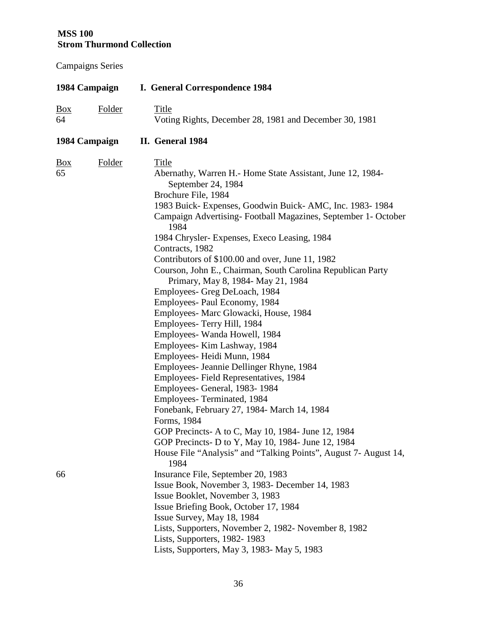| 1984 Campaign        |               | I. General Correspondence 1984                                                                                                                                                                                                                                                                                                                                                                                                                                                                                                                                                                                                                                                                                                                                                                                                                                                                                                                                                                                                                                                                                                      |  |  |
|----------------------|---------------|-------------------------------------------------------------------------------------------------------------------------------------------------------------------------------------------------------------------------------------------------------------------------------------------------------------------------------------------------------------------------------------------------------------------------------------------------------------------------------------------------------------------------------------------------------------------------------------------------------------------------------------------------------------------------------------------------------------------------------------------------------------------------------------------------------------------------------------------------------------------------------------------------------------------------------------------------------------------------------------------------------------------------------------------------------------------------------------------------------------------------------------|--|--|
| $\frac{Box}{}$<br>64 | <b>Folder</b> | <b>Title</b><br>Voting Rights, December 28, 1981 and December 30, 1981                                                                                                                                                                                                                                                                                                                                                                                                                                                                                                                                                                                                                                                                                                                                                                                                                                                                                                                                                                                                                                                              |  |  |
|                      | 1984 Campaign | II. General 1984                                                                                                                                                                                                                                                                                                                                                                                                                                                                                                                                                                                                                                                                                                                                                                                                                                                                                                                                                                                                                                                                                                                    |  |  |
| $\frac{Box}{}$<br>65 | <b>Folder</b> | Title<br>Abernathy, Warren H.- Home State Assistant, June 12, 1984-<br>September 24, 1984<br>Brochure File, 1984<br>1983 Buick-Expenses, Goodwin Buick-AMC, Inc. 1983-1984<br>Campaign Advertising-Football Magazines, September 1- October<br>1984<br>1984 Chrysler- Expenses, Execo Leasing, 1984<br>Contracts, 1982<br>Contributors of \$100.00 and over, June 11, 1982<br>Courson, John E., Chairman, South Carolina Republican Party<br>Primary, May 8, 1984- May 21, 1984<br>Employees- Greg DeLoach, 1984<br>Employees- Paul Economy, 1984<br>Employees- Marc Glowacki, House, 1984<br>Employees- Terry Hill, 1984<br>Employees- Wanda Howell, 1984<br>Employees- Kim Lashway, 1984<br>Employees- Heidi Munn, 1984<br>Employees- Jeannie Dellinger Rhyne, 1984<br>Employees-Field Representatives, 1984<br>Employees- General, 1983-1984<br>Employees-Terminated, 1984<br>Fonebank, February 27, 1984- March 14, 1984<br>Forms, 1984<br>GOP Precincts- A to C, May 10, 1984- June 12, 1984<br>GOP Precincts- D to Y, May 10, 1984- June 12, 1984<br>House File "Analysis" and "Talking Points", August 7- August 14,<br>1984 |  |  |
| 66                   |               | Insurance File, September 20, 1983<br>Issue Book, November 3, 1983- December 14, 1983<br>Issue Booklet, November 3, 1983<br>Issue Briefing Book, October 17, 1984<br>Issue Survey, May 18, 1984<br>Lists, Supporters, November 2, 1982- November 8, 1982<br>Lists, Supporters, 1982-1983                                                                                                                                                                                                                                                                                                                                                                                                                                                                                                                                                                                                                                                                                                                                                                                                                                            |  |  |
|                      |               | Lists, Supporters, May 3, 1983- May 5, 1983                                                                                                                                                                                                                                                                                                                                                                                                                                                                                                                                                                                                                                                                                                                                                                                                                                                                                                                                                                                                                                                                                         |  |  |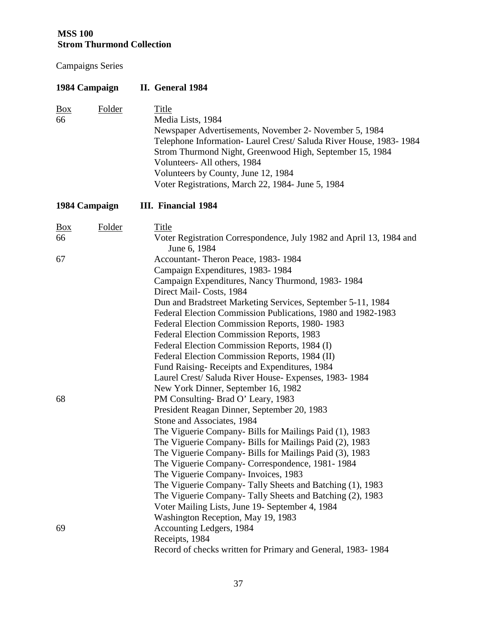| 1984 Campaign              |               | II. General 1984                                                                                                                                                                                                                                                                                                                                                                                                                                                                                                                                                                                                           |
|----------------------------|---------------|----------------------------------------------------------------------------------------------------------------------------------------------------------------------------------------------------------------------------------------------------------------------------------------------------------------------------------------------------------------------------------------------------------------------------------------------------------------------------------------------------------------------------------------------------------------------------------------------------------------------------|
| $\frac{Box}{}$<br>66       | <b>Folder</b> | <b>Title</b><br>Media Lists, 1984<br>Newspaper Advertisements, November 2- November 5, 1984<br>Telephone Information- Laurel Crest/ Saluda River House, 1983-1984<br>Strom Thurmond Night, Greenwood High, September 15, 1984<br>Volunteers- All others, 1984<br>Volunteers by County, June 12, 1984<br>Voter Registrations, March 22, 1984- June 5, 1984                                                                                                                                                                                                                                                                  |
| 1984 Campaign              |               | <b>III.</b> Financial 1984                                                                                                                                                                                                                                                                                                                                                                                                                                                                                                                                                                                                 |
| $\frac{Box}{}$<br>66<br>67 | <b>Folder</b> | Title<br>Voter Registration Correspondence, July 1982 and April 13, 1984 and<br>June 6, 1984<br>Accountant-Theron Peace, 1983-1984<br>Campaign Expenditures, 1983-1984<br>Campaign Expenditures, Nancy Thurmond, 1983-1984                                                                                                                                                                                                                                                                                                                                                                                                 |
| 68                         |               | Direct Mail-Costs, 1984<br>Dun and Bradstreet Marketing Services, September 5-11, 1984<br>Federal Election Commission Publications, 1980 and 1982-1983<br>Federal Election Commission Reports, 1980-1983<br>Federal Election Commission Reports, 1983<br>Federal Election Commission Reports, 1984 (I)<br>Federal Election Commission Reports, 1984 (II)<br>Fund Raising-Receipts and Expenditures, 1984<br>Laurel Crest/ Saluda River House- Expenses, 1983-1984<br>New York Dinner, September 16, 1982<br>PM Consulting-Brad O' Leary, 1983<br>President Reagan Dinner, September 20, 1983<br>Stone and Associates, 1984 |
|                            |               | The Viguerie Company- Bills for Mailings Paid (1), 1983<br>The Viguerie Company- Bills for Mailings Paid (2), 1983<br>The Viguerie Company- Bills for Mailings Paid (3), 1983<br>The Viguerie Company- Correspondence, 1981-1984<br>The Viguerie Company- Invoices, 1983<br>The Viguerie Company-Tally Sheets and Batching (1), 1983<br>The Viguerie Company-Tally Sheets and Batching (2), 1983<br>Voter Mailing Lists, June 19- September 4, 1984<br>Washington Reception, May 19, 1983                                                                                                                                  |
| 69                         |               | Accounting Ledgers, 1984<br>Receipts, 1984<br>Record of checks written for Primary and General, 1983-1984                                                                                                                                                                                                                                                                                                                                                                                                                                                                                                                  |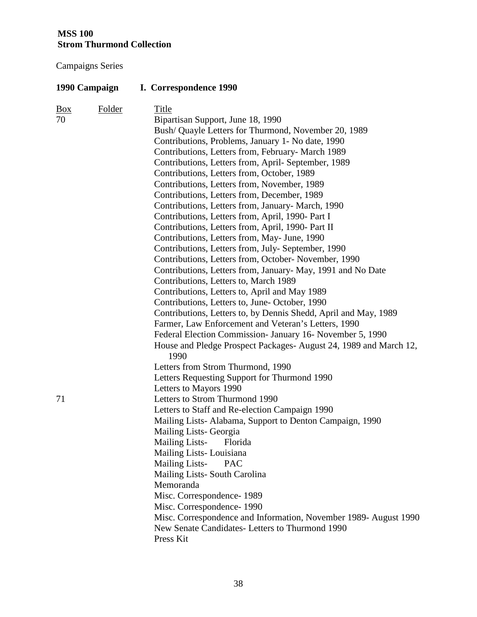Campaigns Series

## **1990 Campaign I. Correspondence 1990**

| $\underline{Box}$<br>70 | <b>Folder</b> | Title<br>Bipartisan Support, June 18, 1990<br>Bush/ Quayle Letters for Thurmond, November 20, 1989<br>Contributions, Problems, January 1- No date, 1990<br>Contributions, Letters from, February- March 1989<br>Contributions, Letters from, April- September, 1989<br>Contributions, Letters from, October, 1989<br>Contributions, Letters from, November, 1989<br>Contributions, Letters from, December, 1989<br>Contributions, Letters from, January- March, 1990<br>Contributions, Letters from, April, 1990- Part I<br>Contributions, Letters from, April, 1990- Part II<br>Contributions, Letters from, May- June, 1990<br>Contributions, Letters from, July-September, 1990<br>Contributions, Letters from, October- November, 1990<br>Contributions, Letters from, January- May, 1991 and No Date<br>Contributions, Letters to, March 1989<br>Contributions, Letters to, April and May 1989<br>Contributions, Letters to, June-October, 1990<br>Contributions, Letters to, by Dennis Shedd, April and May, 1989<br>Farmer, Law Enforcement and Veteran's Letters, 1990<br>Federal Election Commission- January 16- November 5, 1990<br>House and Pledge Prospect Packages-August 24, 1989 and March 12,<br>1990 |
|-------------------------|---------------|-------------------------------------------------------------------------------------------------------------------------------------------------------------------------------------------------------------------------------------------------------------------------------------------------------------------------------------------------------------------------------------------------------------------------------------------------------------------------------------------------------------------------------------------------------------------------------------------------------------------------------------------------------------------------------------------------------------------------------------------------------------------------------------------------------------------------------------------------------------------------------------------------------------------------------------------------------------------------------------------------------------------------------------------------------------------------------------------------------------------------------------------------------------------------------------------------------------------------|
| 71                      |               | Letters from Strom Thurmond, 1990<br>Letters Requesting Support for Thurmond 1990<br>Letters to Mayors 1990<br>Letters to Strom Thurmond 1990<br>Letters to Staff and Re-election Campaign 1990<br>Mailing Lists-Alabama, Support to Denton Campaign, 1990<br>Mailing Lists- Georgia<br><b>Mailing Lists-</b><br>Florida<br>Mailing Lists-Louisiana<br><b>Mailing Lists-</b><br><b>PAC</b><br>Mailing Lists- South Carolina<br>Memoranda<br>Misc. Correspondence-1989<br>Misc. Correspondence-1990<br>Misc. Correspondence and Information, November 1989- August 1990<br>New Senate Candidates- Letters to Thurmond 1990<br>Press Kit                                                                                                                                                                                                                                                                                                                                                                                                                                                                                                                                                                                  |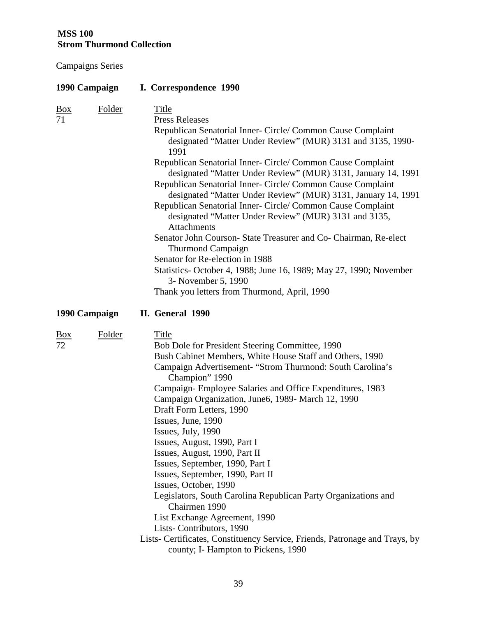| 1990 Campaign                            | I. Correspondence 1990                                                                                                                                                                                                                                                                                                                                                                                                                                                                                                                                                                                                                                                                                                                                                                                                                                                  |
|------------------------------------------|-------------------------------------------------------------------------------------------------------------------------------------------------------------------------------------------------------------------------------------------------------------------------------------------------------------------------------------------------------------------------------------------------------------------------------------------------------------------------------------------------------------------------------------------------------------------------------------------------------------------------------------------------------------------------------------------------------------------------------------------------------------------------------------------------------------------------------------------------------------------------|
| <b>Folder</b><br>$\underline{Box}$<br>71 | <b>Title</b><br><b>Press Releases</b><br>Republican Senatorial Inner- Circle/ Common Cause Complaint<br>designated "Matter Under Review" (MUR) 3131 and 3135, 1990-<br>1991<br>Republican Senatorial Inner- Circle/ Common Cause Complaint<br>designated "Matter Under Review" (MUR) 3131, January 14, 1991<br>Republican Senatorial Inner- Circle/ Common Cause Complaint<br>designated "Matter Under Review" (MUR) 3131, January 14, 1991<br>Republican Senatorial Inner- Circle/ Common Cause Complaint<br>designated "Matter Under Review" (MUR) 3131 and 3135,<br><b>Attachments</b><br>Senator John Courson-State Treasurer and Co-Chairman, Re-elect<br><b>Thurmond Campaign</b><br>Senator for Re-election in 1988<br>Statistics- October 4, 1988; June 16, 1989; May 27, 1990; November<br>3- November 5, 1990<br>Thank you letters from Thurmond, April, 1990 |
| 1990 Campaign                            | II. General 1990                                                                                                                                                                                                                                                                                                                                                                                                                                                                                                                                                                                                                                                                                                                                                                                                                                                        |
| Folder<br>$\frac{Box}{}$<br>72           | Title<br>Bob Dole for President Steering Committee, 1990<br>Bush Cabinet Members, White House Staff and Others, 1990<br>Campaign Advertisement- "Strom Thurmond: South Carolina's<br>Champion" 1990<br>Campaign-Employee Salaries and Office Expenditures, 1983<br>Campaign Organization, June6, 1989- March 12, 1990<br>Draft Form Letters, 1990<br>Issues, June, 1990<br>Issues, July, 1990<br>Issues, August, 1990, Part I<br>Issues, August, 1990, Part II<br>Issues, September, 1990, Part I<br>Issues, September, 1990, Part II<br>Issues, October, 1990<br>Legislators, South Carolina Republican Party Organizations and<br>Chairmen 1990<br>List Exchange Agreement, 1990<br>Lists-Contributors, 1990<br>Lists- Certificates, Constituency Service, Friends, Patronage and Trays, by<br>county; I- Hampton to Pickens, 1990                                    |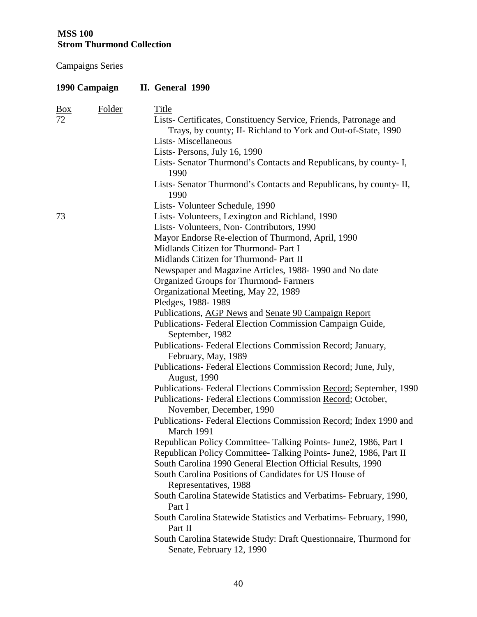| 1990 Campaign                     | II. General 1990                                                                                                                                                                                                                                                                                                                                                                                                                                                                                                                                                                                                                                                                                                                                                                                                                                                                                                                                                                                                                                                                                                                                                                                                                                                                                                                                                                                  |
|-----------------------------------|---------------------------------------------------------------------------------------------------------------------------------------------------------------------------------------------------------------------------------------------------------------------------------------------------------------------------------------------------------------------------------------------------------------------------------------------------------------------------------------------------------------------------------------------------------------------------------------------------------------------------------------------------------------------------------------------------------------------------------------------------------------------------------------------------------------------------------------------------------------------------------------------------------------------------------------------------------------------------------------------------------------------------------------------------------------------------------------------------------------------------------------------------------------------------------------------------------------------------------------------------------------------------------------------------------------------------------------------------------------------------------------------------|
| Folder<br>$\underline{Box}$<br>72 | Title<br>Lists- Certificates, Constituency Service, Friends, Patronage and<br>Trays, by county; II- Richland to York and Out-of-State, 1990<br>Lists-Miscellaneous<br>Lists-Persons, July 16, 1990<br>Lists- Senator Thurmond's Contacts and Republicans, by county- I,<br>1990<br>Lists-Senator Thurmond's Contacts and Republicans, by county-II,                                                                                                                                                                                                                                                                                                                                                                                                                                                                                                                                                                                                                                                                                                                                                                                                                                                                                                                                                                                                                                               |
|                                   | 1990                                                                                                                                                                                                                                                                                                                                                                                                                                                                                                                                                                                                                                                                                                                                                                                                                                                                                                                                                                                                                                                                                                                                                                                                                                                                                                                                                                                              |
| 73                                | Lists-Volunteer Schedule, 1990<br>Lists- Volunteers, Lexington and Richland, 1990<br>Lists- Volunteers, Non- Contributors, 1990<br>Mayor Endorse Re-election of Thurmond, April, 1990<br>Midlands Citizen for Thurmond- Part I<br>Midlands Citizen for Thurmond- Part II<br>Newspaper and Magazine Articles, 1988-1990 and No date<br><b>Organized Groups for Thurmond-Farmers</b><br>Organizational Meeting, May 22, 1989<br>Pledges, 1988-1989<br>Publications, AGP News and Senate 90 Campaign Report<br>Publications- Federal Election Commission Campaign Guide,<br>September, 1982<br>Publications- Federal Elections Commission Record; January,<br>February, May, 1989<br>Publications- Federal Elections Commission Record; June, July,<br><b>August</b> , 1990<br>Publications- Federal Elections Commission Record; September, 1990<br>Publications- Federal Elections Commission Record; October,<br>November, December, 1990<br>Publications-Federal Elections Commission Record; Index 1990 and<br>March 1991<br>Republican Policy Committee-Talking Points-June2, 1986, Part I<br>Republican Policy Committee-Talking Points-June2, 1986, Part II<br>South Carolina 1990 General Election Official Results, 1990<br>South Carolina Positions of Candidates for US House of<br>Representatives, 1988<br>South Carolina Statewide Statistics and Verbatims-February, 1990,<br>Part I |
|                                   | South Carolina Statewide Statistics and Verbatims-February, 1990,<br>Part II<br>South Carolina Statewide Study: Draft Questionnaire, Thurmond for<br>Senate, February 12, 1990                                                                                                                                                                                                                                                                                                                                                                                                                                                                                                                                                                                                                                                                                                                                                                                                                                                                                                                                                                                                                                                                                                                                                                                                                    |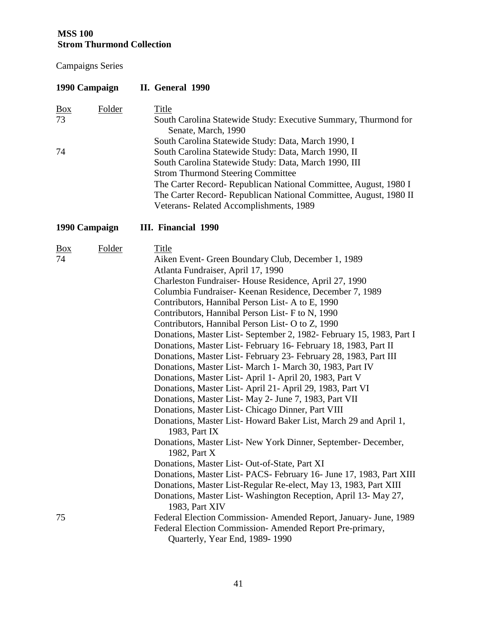| 1990 Campaign                 |               | II. General 1990                                                                                                                                                                                                                                                                                                                                                                                                                                                                                                                                                                                                                                                                                                                                                                                                                                                                                                                                                                                                                                                                                                                                                                                                                                                                                                                               |  |  |
|-------------------------------|---------------|------------------------------------------------------------------------------------------------------------------------------------------------------------------------------------------------------------------------------------------------------------------------------------------------------------------------------------------------------------------------------------------------------------------------------------------------------------------------------------------------------------------------------------------------------------------------------------------------------------------------------------------------------------------------------------------------------------------------------------------------------------------------------------------------------------------------------------------------------------------------------------------------------------------------------------------------------------------------------------------------------------------------------------------------------------------------------------------------------------------------------------------------------------------------------------------------------------------------------------------------------------------------------------------------------------------------------------------------|--|--|
| $\underline{Box}$<br>73<br>74 | <b>Folder</b> | <b>Title</b><br>South Carolina Statewide Study: Executive Summary, Thurmond for<br>Senate, March, 1990<br>South Carolina Statewide Study: Data, March 1990, I<br>South Carolina Statewide Study: Data, March 1990, II<br>South Carolina Statewide Study: Data, March 1990, III<br><b>Strom Thurmond Steering Committee</b><br>The Carter Record- Republican National Committee, August, 1980 I<br>The Carter Record- Republican National Committee, August, 1980 II<br>Veterans-Related Accomplishments, 1989                                                                                                                                                                                                                                                                                                                                                                                                                                                                                                                                                                                                                                                                                                                                                                                                                                  |  |  |
| 1990 Campaign                 |               | III. Financial 1990                                                                                                                                                                                                                                                                                                                                                                                                                                                                                                                                                                                                                                                                                                                                                                                                                                                                                                                                                                                                                                                                                                                                                                                                                                                                                                                            |  |  |
| <u>Box</u><br>74              | Folder        | <b>Title</b><br>Aiken Event- Green Boundary Club, December 1, 1989<br>Atlanta Fundraiser, April 17, 1990<br>Charleston Fundraiser-House Residence, April 27, 1990<br>Columbia Fundraiser- Keenan Residence, December 7, 1989<br>Contributors, Hannibal Person List-A to E, 1990<br>Contributors, Hannibal Person List-F to N, 1990<br>Contributors, Hannibal Person List- O to Z, 1990<br>Donations, Master List-September 2, 1982- February 15, 1983, Part I<br>Donations, Master List-February 16-February 18, 1983, Part II<br>Donations, Master List-February 23-February 28, 1983, Part III<br>Donations, Master List-March 1- March 30, 1983, Part IV<br>Donations, Master List-April 1-April 20, 1983, Part V<br>Donations, Master List-April 21-April 29, 1983, Part VI<br>Donations, Master List-May 2- June 7, 1983, Part VII<br>Donations, Master List- Chicago Dinner, Part VIII<br>Donations, Master List-Howard Baker List, March 29 and April 1,<br>1983, Part IX<br>Donations, Master List-New York Dinner, September-December,<br>1982, Part X<br>Donations, Master List-Out-of-State, Part XI<br>Donations, Master List- PACS- February 16- June 17, 1983, Part XIII<br>Donations, Master List-Regular Re-elect, May 13, 1983, Part XIII<br>Donations, Master List-Washington Reception, April 13- May 27,<br>1983, Part XIV |  |  |
| 75                            |               | Federal Election Commission- Amended Report, January- June, 1989<br>Federal Election Commission-Amended Report Pre-primary,<br>Quarterly, Year End, 1989-1990                                                                                                                                                                                                                                                                                                                                                                                                                                                                                                                                                                                                                                                                                                                                                                                                                                                                                                                                                                                                                                                                                                                                                                                  |  |  |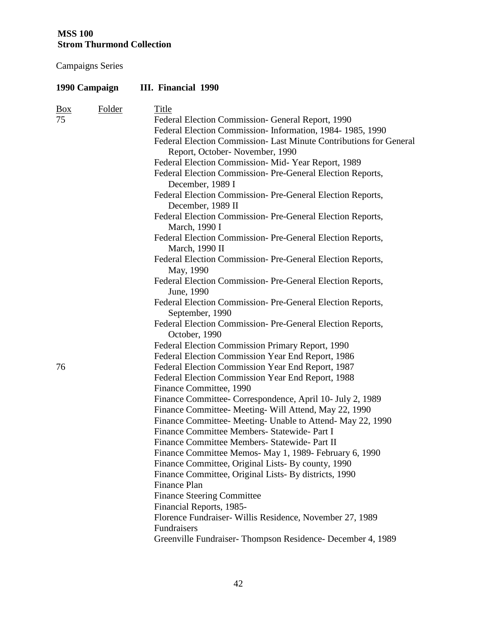| 1990 Campaign        |               | III. Financial 1990                                                                                                                                                                                                                                                                                                                                                                                                                                                                                                                                                                                                                                                                                                                                                                                                                                                                                                                                                                                  |  |  |
|----------------------|---------------|------------------------------------------------------------------------------------------------------------------------------------------------------------------------------------------------------------------------------------------------------------------------------------------------------------------------------------------------------------------------------------------------------------------------------------------------------------------------------------------------------------------------------------------------------------------------------------------------------------------------------------------------------------------------------------------------------------------------------------------------------------------------------------------------------------------------------------------------------------------------------------------------------------------------------------------------------------------------------------------------------|--|--|
| $\frac{Box}{}$<br>75 | <b>Folder</b> | <b>Title</b><br>Federal Election Commission- General Report, 1990<br>Federal Election Commission-Information, 1984-1985, 1990<br>Federal Election Commission- Last Minute Contributions for General<br>Report, October-November, 1990<br>Federal Election Commission- Mid-Year Report, 1989<br>Federal Election Commission-Pre-General Election Reports,<br>December, 1989 I<br>Federal Election Commission- Pre-General Election Reports,<br>December, 1989 II<br>Federal Election Commission-Pre-General Election Reports,<br>March, 1990 I<br>Federal Election Commission-Pre-General Election Reports,<br>March, 1990 II<br>Federal Election Commission-Pre-General Election Reports,<br>May, 1990<br>Federal Election Commission-Pre-General Election Reports,<br>June, 1990<br>Federal Election Commission-Pre-General Election Reports,<br>September, 1990<br>Federal Election Commission- Pre-General Election Reports,<br>October, 1990<br>Federal Election Commission Primary Report, 1990 |  |  |
| 76                   |               | Federal Election Commission Year End Report, 1986<br>Federal Election Commission Year End Report, 1987<br>Federal Election Commission Year End Report, 1988<br>Finance Committee, 1990<br>Finance Committee- Correspondence, April 10- July 2, 1989<br>Finance Committee- Meeting- Will Attend, May 22, 1990<br>Finance Committee-Meeting- Unable to Attend-May 22, 1990<br>Finance Committee Members- Statewide- Part I<br>Finance Committee Members- Statewide- Part II<br>Finance Committee Memos- May 1, 1989- February 6, 1990<br>Finance Committee, Original Lists- By county, 1990<br>Finance Committee, Original Lists- By districts, 1990<br>Finance Plan<br><b>Finance Steering Committee</b><br>Financial Reports, 1985-<br>Florence Fundraiser-Willis Residence, November 27, 1989<br>Fundraisers<br>Greenville Fundraiser-Thompson Residence-December 4, 1989                                                                                                                           |  |  |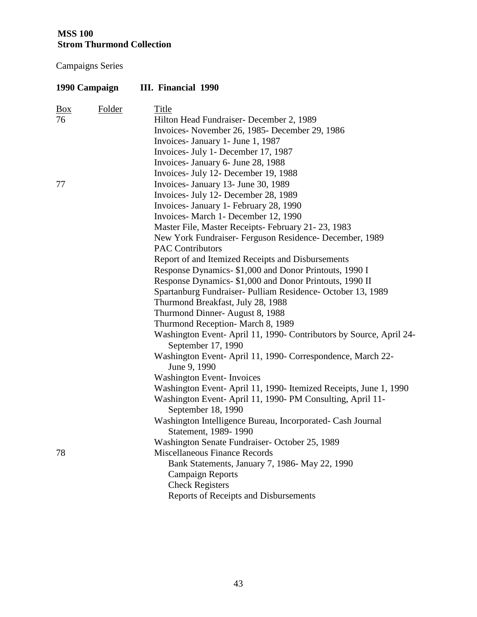|                | 1990 Campaign | <b>III.</b> Financial 1990                                                               |
|----------------|---------------|------------------------------------------------------------------------------------------|
| $\frac{Box}{}$ | Folder        | <b>Title</b>                                                                             |
| 76             |               | Hilton Head Fundraiser- December 2, 1989                                                 |
|                |               | Invoices-November 26, 1985-December 29, 1986                                             |
|                |               | Invoices- January 1- June 1, 1987                                                        |
|                |               | Invoices- July 1- December 17, 1987                                                      |
|                |               | Invoices- January 6- June 28, 1988                                                       |
|                |               | Invoices- July 12- December 19, 1988                                                     |
| 77             |               | Invoices- January 13- June 30, 1989                                                      |
|                |               | Invoices- July 12- December 28, 1989                                                     |
|                |               | Invoices- January 1- February 28, 1990                                                   |
|                |               | Invoices- March 1- December 12, 1990                                                     |
|                |               | Master File, Master Receipts- February 21-23, 1983                                       |
|                |               | New York Fundraiser- Ferguson Residence- December, 1989                                  |
|                |               | <b>PAC Contributors</b>                                                                  |
|                |               | Report of and Itemized Receipts and Disbursements                                        |
|                |               | Response Dynamics- \$1,000 and Donor Printouts, 1990 I                                   |
|                |               | Response Dynamics- \$1,000 and Donor Printouts, 1990 II                                  |
|                |               | Spartanburg Fundraiser- Pulliam Residence- October 13, 1989                              |
|                |               | Thurmond Breakfast, July 28, 1988                                                        |
|                |               | Thurmond Dinner-August 8, 1988                                                           |
|                |               | Thurmond Reception- March 8, 1989                                                        |
|                |               | Washington Event-April 11, 1990- Contributors by Source, April 24-<br>September 17, 1990 |
|                |               | Washington Event-April 11, 1990- Correspondence, March 22-<br>June 9, 1990               |
|                |               | <b>Washington Event-Invoices</b>                                                         |
|                |               | Washington Event- April 11, 1990- Itemized Receipts, June 1, 1990                        |
|                |               | Washington Event-April 11, 1990- PM Consulting, April 11-<br>September 18, 1990          |
|                |               | Washington Intelligence Bureau, Incorporated- Cash Journal                               |
|                |               | Statement, 1989-1990                                                                     |
|                |               | Washington Senate Fundraiser-October 25, 1989<br><b>Miscellaneous Finance Records</b>    |
| 78             |               |                                                                                          |
|                |               | Bank Statements, January 7, 1986- May 22, 1990                                           |
|                |               | <b>Campaign Reports</b>                                                                  |
|                |               | <b>Check Registers</b>                                                                   |
|                |               | Reports of Receipts and Disbursements                                                    |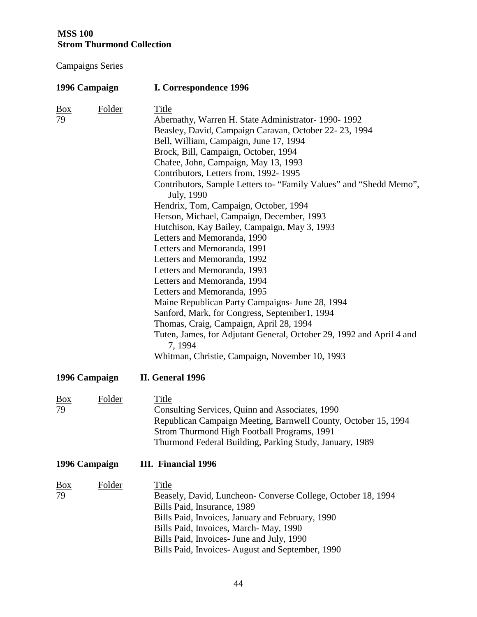| 1996 Campaign           |               | I. Correspondence 1996                                                                                                                                                                                                                                                                                                                                                                                                                                                                                                                                                                                                                                                                                                                                                                                                                                                                                                                                                                                  |  |  |
|-------------------------|---------------|---------------------------------------------------------------------------------------------------------------------------------------------------------------------------------------------------------------------------------------------------------------------------------------------------------------------------------------------------------------------------------------------------------------------------------------------------------------------------------------------------------------------------------------------------------------------------------------------------------------------------------------------------------------------------------------------------------------------------------------------------------------------------------------------------------------------------------------------------------------------------------------------------------------------------------------------------------------------------------------------------------|--|--|
| $\underline{Box}$<br>79 | <b>Folder</b> | <b>Title</b><br>Abernathy, Warren H. State Administrator- 1990-1992<br>Beasley, David, Campaign Caravan, October 22-23, 1994<br>Bell, William, Campaign, June 17, 1994<br>Brock, Bill, Campaign, October, 1994<br>Chafee, John, Campaign, May 13, 1993<br>Contributors, Letters from, 1992-1995<br>Contributors, Sample Letters to- "Family Values" and "Shedd Memo",<br>July, 1990<br>Hendrix, Tom, Campaign, October, 1994<br>Herson, Michael, Campaign, December, 1993<br>Hutchison, Kay Bailey, Campaign, May 3, 1993<br>Letters and Memoranda, 1990<br>Letters and Memoranda, 1991<br>Letters and Memoranda, 1992<br>Letters and Memoranda, 1993<br>Letters and Memoranda, 1994<br>Letters and Memoranda, 1995<br>Maine Republican Party Campaigns- June 28, 1994<br>Sanford, Mark, for Congress, September1, 1994<br>Thomas, Craig, Campaign, April 28, 1994<br>Tuten, James, for Adjutant General, October 29, 1992 and April 4 and<br>7, 1994<br>Whitman, Christie, Campaign, November 10, 1993 |  |  |
| 1996 Campaign           |               | II. General 1996                                                                                                                                                                                                                                                                                                                                                                                                                                                                                                                                                                                                                                                                                                                                                                                                                                                                                                                                                                                        |  |  |
| $\frac{Box}{}$<br>79    | Folder        | <b>Title</b><br>Consulting Services, Quinn and Associates, 1990<br>Republican Campaign Meeting, Barnwell County, October 15, 1994<br>Strom Thurmond High Football Programs, 1991<br>Thurmond Federal Building, Parking Study, January, 1989                                                                                                                                                                                                                                                                                                                                                                                                                                                                                                                                                                                                                                                                                                                                                             |  |  |
| 1996 Campaign           |               | III. Financial 1996                                                                                                                                                                                                                                                                                                                                                                                                                                                                                                                                                                                                                                                                                                                                                                                                                                                                                                                                                                                     |  |  |
| $\frac{Box}{}$<br>79    | <b>Folder</b> | <b>Title</b><br>Beasely, David, Luncheon- Converse College, October 18, 1994<br>Bills Paid, Insurance, 1989<br>Bills Paid, Invoices, January and February, 1990<br>Bills Paid, Invoices, March-May, 1990<br>Bills Paid, Invoices- June and July, 1990<br>Bills Paid, Invoices-August and September, 1990                                                                                                                                                                                                                                                                                                                                                                                                                                                                                                                                                                                                                                                                                                |  |  |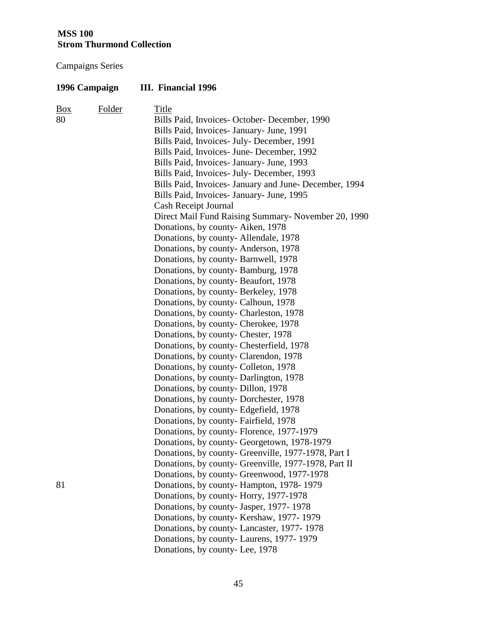| 1996 Campaign  |        | <b>III.</b> Financial 1996                             |
|----------------|--------|--------------------------------------------------------|
| $\frac{Box}{}$ | Folder | <b>Title</b>                                           |
| 80             |        | Bills Paid, Invoices- October- December, 1990          |
|                |        | Bills Paid, Invoices- January- June, 1991              |
|                |        | Bills Paid, Invoices- July- December, 1991             |
|                |        | Bills Paid, Invoices June December, 1992               |
|                |        | Bills Paid, Invoices- January- June, 1993              |
|                |        | Bills Paid, Invoices- July- December, 1993             |
|                |        | Bills Paid, Invoices- January and June- December, 1994 |
|                |        | Bills Paid, Invoices- January- June, 1995              |
|                |        | Cash Receipt Journal                                   |
|                |        | Direct Mail Fund Raising Summary- November 20, 1990    |
|                |        | Donations, by county-Aiken, 1978                       |
|                |        | Donations, by county-Allendale, 1978                   |
|                |        | Donations, by county-Anderson, 1978                    |
|                |        | Donations, by county-Barnwell, 1978                    |
|                |        | Donations, by county-Bamburg, 1978                     |
|                |        | Donations, by county-Beaufort, 1978                    |
|                |        | Donations, by county-Berkeley, 1978                    |
|                |        | Donations, by county- Calhoun, 1978                    |
|                |        | Donations, by county- Charleston, 1978                 |
|                |        | Donations, by county- Cherokee, 1978                   |
|                |        | Donations, by county- Chester, 1978                    |
|                |        | Donations, by county- Chesterfield, 1978               |
|                |        | Donations, by county- Clarendon, 1978                  |
|                |        | Donations, by county- Colleton, 1978                   |
|                |        | Donations, by county-Darlington, 1978                  |
|                |        | Donations, by county- Dillon, 1978                     |
|                |        | Donations, by county-Dorchester, 1978                  |
|                |        | Donations, by county- Edgefield, 1978                  |
|                |        | Donations, by county- Fairfield, 1978                  |
|                |        | Donations, by county- Florence, 1977-1979              |
|                |        | Donations, by county- Georgetown, 1978-1979            |
|                |        | Donations, by county- Greenville, 1977-1978, Part I    |
|                |        | Donations, by county- Greenville, 1977-1978, Part II   |
|                |        | Donations, by county- Greenwood, 1977-1978             |
| 81             |        | Donations, by county-Hampton, 1978-1979                |
|                |        | Donations, by county-Horry, 1977-1978                  |
|                |        | Donations, by county- Jasper, 1977-1978                |
|                |        | Donations, by county-Kershaw, 1977-1979                |
|                |        | Donations, by county-Lancaster, 1977-1978              |
|                |        | Donations, by county- Laurens, 1977-1979               |
|                |        | Donations, by county-Lee, 1978                         |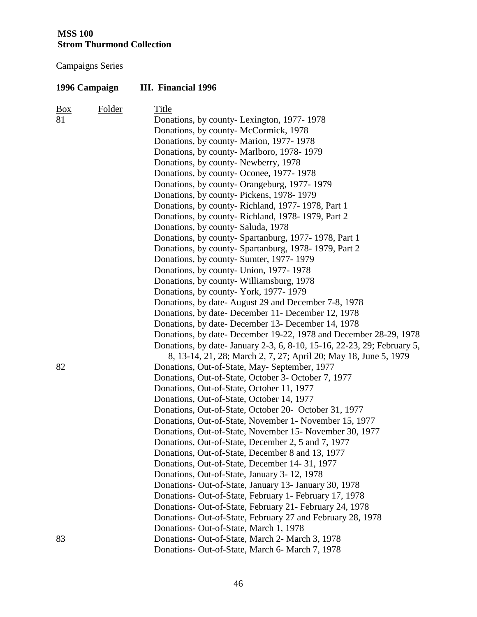| 1996 Campaign |        | III. Financial 1996                                                     |  |  |
|---------------|--------|-------------------------------------------------------------------------|--|--|
| <b>Box</b>    | Folder | <b>Title</b>                                                            |  |  |
| 81            |        | Donations, by county-Lexington, 1977-1978                               |  |  |
|               |        | Donations, by county- McCormick, 1978                                   |  |  |
|               |        | Donations, by county- Marion, 1977-1978                                 |  |  |
|               |        | Donations, by county- Marlboro, 1978-1979                               |  |  |
|               |        | Donations, by county-Newberry, 1978                                     |  |  |
|               |        | Donations, by county- Oconee, 1977-1978                                 |  |  |
|               |        | Donations, by county- Orangeburg, 1977-1979                             |  |  |
|               |        | Donations, by county-Pickens, 1978-1979                                 |  |  |
|               |        | Donations, by county-Richland, 1977-1978, Part 1                        |  |  |
|               |        | Donations, by county-Richland, 1978-1979, Part 2                        |  |  |
|               |        | Donations, by county-Saluda, 1978                                       |  |  |
|               |        | Donations, by county- Spartanburg, 1977-1978, Part 1                    |  |  |
|               |        | Donations, by county-Spartanburg, 1978-1979, Part 2                     |  |  |
|               |        | Donations, by county- Sumter, 1977-1979                                 |  |  |
|               |        | Donations, by county- Union, 1977-1978                                  |  |  |
|               |        | Donations, by county-Williamsburg, 1978                                 |  |  |
|               |        | Donations, by county- York, 1977-1979                                   |  |  |
|               |        | Donations, by date-August 29 and December 7-8, 1978                     |  |  |
|               |        | Donations, by date-December 11- December 12, 1978                       |  |  |
|               |        | Donations, by date-December 13- December 14, 1978                       |  |  |
|               |        | Donations, by date-December 19-22, 1978 and December 28-29, 1978        |  |  |
|               |        | Donations, by date- January 2-3, 6, 8-10, 15-16, 22-23, 29; February 5, |  |  |
|               |        | 8, 13-14, 21, 28; March 2, 7, 27; April 20; May 18, June 5, 1979        |  |  |
| 82            |        | Donations, Out-of-State, May- September, 1977                           |  |  |
|               |        | Donations, Out-of-State, October 3- October 7, 1977                     |  |  |
|               |        | Donations, Out-of-State, October 11, 1977                               |  |  |
|               |        | Donations, Out-of-State, October 14, 1977                               |  |  |
|               |        | Donations, Out-of-State, October 20- October 31, 1977                   |  |  |
|               |        | Donations, Out-of-State, November 1- November 15, 1977                  |  |  |
|               |        | Donations, Out-of-State, November 15- November 30, 1977                 |  |  |
|               |        | Donations, Out-of-State, December 2, 5 and 7, 1977                      |  |  |
|               |        | Donations, Out-of-State, December 8 and 13, 1977                        |  |  |
|               |        | Donations, Out-of-State, December 14-31, 1977                           |  |  |
|               |        | Donations, Out-of-State, January 3-12, 1978                             |  |  |
|               |        | Donations- Out-of-State, January 13- January 30, 1978                   |  |  |
|               |        | Donations- Out-of-State, February 1- February 17, 1978                  |  |  |
|               |        | Donations- Out-of-State, February 21- February 24, 1978                 |  |  |
|               |        | Donations- Out-of-State, February 27 and February 28, 1978              |  |  |
|               |        | Donations- Out-of-State, March 1, 1978                                  |  |  |
| 83            |        | Donations- Out-of-State, March 2- March 3, 1978                         |  |  |
|               |        | Donations- Out-of-State, March 6- March 7, 1978                         |  |  |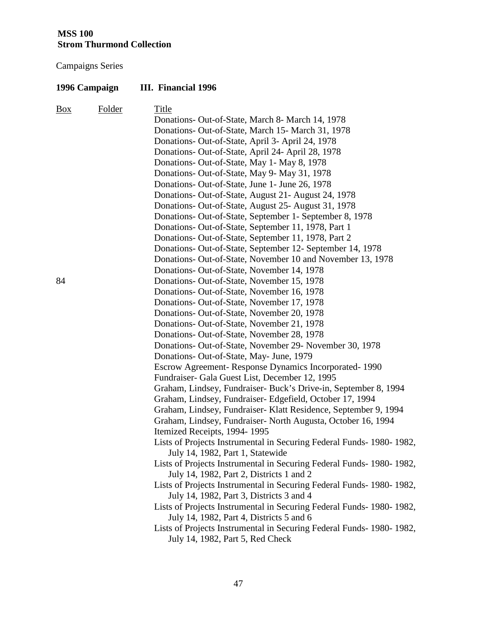| 1996 Campaign |        | III. Financial 1996                                                                                                 |  |
|---------------|--------|---------------------------------------------------------------------------------------------------------------------|--|
| Box           | Folder | <b>Title</b>                                                                                                        |  |
|               |        | Donations- Out-of-State, March 8- March 14, 1978                                                                    |  |
|               |        | Donations- Out-of-State, March 15- March 31, 1978                                                                   |  |
|               |        | Donations- Out-of-State, April 3- April 24, 1978                                                                    |  |
|               |        | Donations- Out-of-State, April 24- April 28, 1978                                                                   |  |
|               |        | Donations- Out-of-State, May 1- May 8, 1978                                                                         |  |
|               |        | Donations- Out-of-State, May 9- May 31, 1978                                                                        |  |
|               |        | Donations- Out-of-State, June 1- June 26, 1978                                                                      |  |
|               |        | Donations- Out-of-State, August 21- August 24, 1978                                                                 |  |
|               |        | Donations- Out-of-State, August 25- August 31, 1978                                                                 |  |
|               |        | Donations- Out-of-State, September 1- September 8, 1978                                                             |  |
|               |        | Donations- Out-of-State, September 11, 1978, Part 1                                                                 |  |
|               |        | Donations- Out-of-State, September 11, 1978, Part 2                                                                 |  |
|               |        | Donations- Out-of-State, September 12- September 14, 1978                                                           |  |
|               |        | Donations- Out-of-State, November 10 and November 13, 1978                                                          |  |
|               |        | Donations- Out-of-State, November 14, 1978                                                                          |  |
| 84            |        | Donations- Out-of-State, November 15, 1978                                                                          |  |
|               |        | Donations- Out-of-State, November 16, 1978                                                                          |  |
|               |        | Donations- Out-of-State, November 17, 1978                                                                          |  |
|               |        | Donations- Out-of-State, November 20, 1978                                                                          |  |
|               |        | Donations- Out-of-State, November 21, 1978                                                                          |  |
|               |        | Donations- Out-of-State, November 28, 1978                                                                          |  |
|               |        | Donations- Out-of-State, November 29- November 30, 1978                                                             |  |
|               |        | Donations- Out-of-State, May- June, 1979                                                                            |  |
|               |        | Escrow Agreement-Response Dynamics Incorporated-1990                                                                |  |
|               |        | Fundraiser- Gala Guest List, December 12, 1995                                                                      |  |
|               |        | Graham, Lindsey, Fundraiser- Buck's Drive-in, September 8, 1994                                                     |  |
|               |        | Graham, Lindsey, Fundraiser- Edgefield, October 17, 1994                                                            |  |
|               |        | Graham, Lindsey, Fundraiser-Klatt Residence, September 9, 1994                                                      |  |
|               |        | Graham, Lindsey, Fundraiser- North Augusta, October 16, 1994                                                        |  |
|               |        | Itemized Receipts, 1994-1995                                                                                        |  |
|               |        | Lists of Projects Instrumental in Securing Federal Funds- 1980-1982,<br>July 14, 1982, Part 1, Statewide            |  |
|               |        | Lists of Projects Instrumental in Securing Federal Funds- 1980- 1982,<br>July 14, 1982, Part 2, Districts 1 and 2   |  |
|               |        | Lists of Projects Instrumental in Securing Federal Funds-1980-1982,<br>July 14, 1982, Part 3, Districts 3 and 4     |  |
|               |        | Lists of Projects Instrumental in Securing Federal Funds- 1980- 1982,                                               |  |
|               |        | July 14, 1982, Part 4, Districts 5 and 6<br>Lists of Projects Instrumental in Securing Federal Funds - 1980 - 1982, |  |
|               |        | July 14, 1982, Part 5, Red Check                                                                                    |  |
|               |        |                                                                                                                     |  |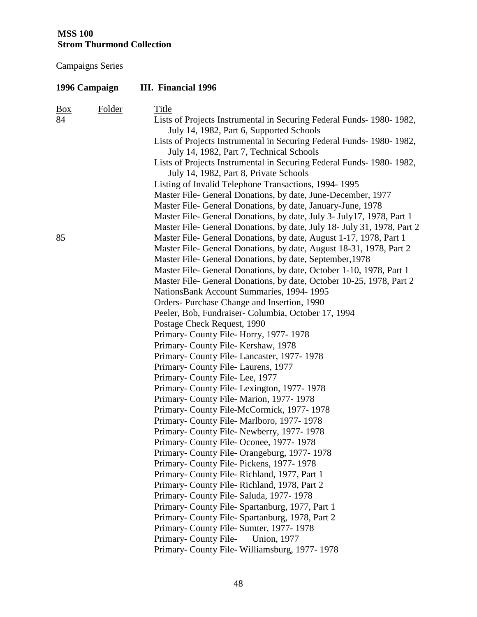| 1996 Campaign                  | III. Financial 1996                                                                                                             |
|--------------------------------|---------------------------------------------------------------------------------------------------------------------------------|
| Folder<br>$\frac{Box}{}$<br>84 | <b>Title</b><br>Lists of Projects Instrumental in Securing Federal Funds-1980-1982,<br>July 14, 1982, Part 6, Supported Schools |
|                                | Lists of Projects Instrumental in Securing Federal Funds- 1980- 1982,<br>July 14, 1982, Part 7, Technical Schools               |
|                                | Lists of Projects Instrumental in Securing Federal Funds- 1980-1982,<br>July 14, 1982, Part 8, Private Schools                  |
|                                | Listing of Invalid Telephone Transactions, 1994-1995                                                                            |
|                                | Master File- General Donations, by date, June-December, 1977                                                                    |
|                                | Master File- General Donations, by date, January-June, 1978                                                                     |
|                                | Master File- General Donations, by date, July 3- July 17, 1978, Part 1                                                          |
|                                | Master File- General Donations, by date, July 18- July 31, 1978, Part 2                                                         |
| 85                             | Master File- General Donations, by date, August 1-17, 1978, Part 1                                                              |
|                                | Master File- General Donations, by date, August 18-31, 1978, Part 2                                                             |
|                                | Master File- General Donations, by date, September, 1978                                                                        |
|                                | Master File- General Donations, by date, October 1-10, 1978, Part 1                                                             |
|                                | Master File- General Donations, by date, October 10-25, 1978, Part 2                                                            |
|                                | NationsBank Account Summaries, 1994-1995                                                                                        |
|                                | Orders-Purchase Change and Insertion, 1990                                                                                      |
|                                | Peeler, Bob, Fundraiser- Columbia, October 17, 1994                                                                             |
|                                | Postage Check Request, 1990                                                                                                     |
|                                | Primary-County File-Horry, 1977-1978                                                                                            |
|                                | Primary- County File-Kershaw, 1978                                                                                              |
|                                | Primary- County File-Lancaster, 1977-1978                                                                                       |
|                                | Primary- County File-Laurens, 1977                                                                                              |
|                                | Primary-County File-Lee, 1977                                                                                                   |
|                                | Primary- County File-Lexington, 1977-1978                                                                                       |
|                                | Primary- County File-Marion, 1977-1978                                                                                          |
|                                | Primary- County File-McCormick, 1977-1978                                                                                       |
|                                | Primary- County File-Marlboro, 1977-1978                                                                                        |
|                                | Primary- County File-Newberry, 1977-1978<br>Primary-County File-Oconee, 1977-1978                                               |
|                                | Primary- County File-Orangeburg, 1977-1978                                                                                      |
|                                | Primary-County File-Pickens, 1977-1978                                                                                          |
|                                | Primary- County File-Richland, 1977, Part 1                                                                                     |
|                                | Primary- County File-Richland, 1978, Part 2                                                                                     |
|                                | Primary-County File-Saluda, 1977-1978                                                                                           |
|                                | Primary- County File-Spartanburg, 1977, Part 1                                                                                  |
|                                | Primary- County File-Spartanburg, 1978, Part 2                                                                                  |
|                                | Primary-County File-Sumter, 1977-1978                                                                                           |
|                                | Primary-County File-<br><b>Union</b> , 1977                                                                                     |
|                                | Primary- County File-Williamsburg, 1977-1978                                                                                    |
|                                |                                                                                                                                 |